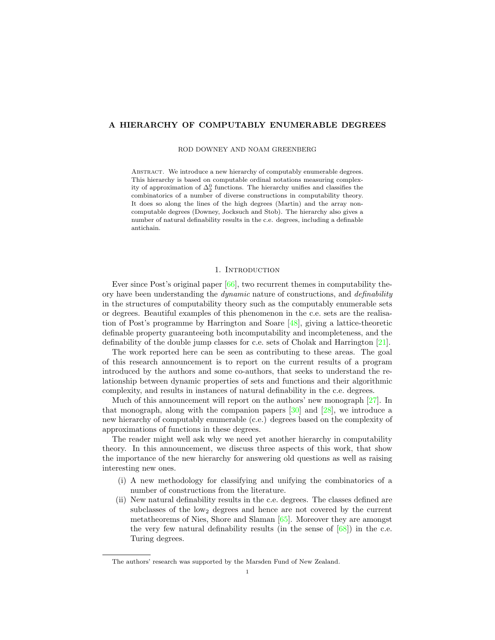# A HIERARCHY OF COMPUTABLY ENUMERABLE DEGREES

ROD DOWNEY AND NOAM GREENBERG

ABSTRACT. We introduce a new hierarchy of computably enumerable degrees. This hierarchy is based on computable ordinal notations measuring complexity of approximation of  $\Delta^0_2$  functions. The hierarchy unifies and classifies the combinatorics of a number of diverse constructions in computability theory. It does so along the lines of the high degrees (Martin) and the array noncomputable degrees (Downey, Jocksuch and Stob). The hierarchy also gives a number of natural definability results in the c.e. degrees, including a definable antichain.

### 1. INTRODUCTION

Ever since Post's original paper [\[66\]](#page-33-0), two recurrent themes in computability theory have been understanding the *dynamic* nature of constructions, and *definability* in the structures of computability theory such as the computably enumerable sets or degrees. Beautiful examples of this phenomenon in the c.e. sets are the realisation of Post's programme by Harrington and Soare [\[48\]](#page-32-0), giving a lattice-theoretic definable property guaranteeing both incomputability and incompleteness, and the definability of the double jump classes for c.e. sets of Cholak and Harrington [\[21\]](#page-31-0).

The work reported here can be seen as contributing to these areas. The goal of this research announcement is to report on the current results of a program introduced by the authors and some co-authors, that seeks to understand the relationship between dynamic properties of sets and functions and their algorithmic complexity, and results in instances of natural definability in the c.e. degrees.

Much of this announcement will report on the authors' new monograph [\[27\]](#page-31-1). In that monograph, along with the companion papers [\[30\]](#page-31-2) and [\[28\]](#page-31-3), we introduce a new hierarchy of computably enumerable (c.e.) degrees based on the complexity of approximations of functions in these degrees.

The reader might well ask why we need yet another hierarchy in computability theory. In this announcement, we discuss three aspects of this work, that show the importance of the new hierarchy for answering old questions as well as raising interesting new ones.

- (i) A new methodology for classifying and unifying the combinatorics of a number of constructions from the literature.
- (ii) New natural definability results in the c.e. degrees. The classes defined are subclasses of the low<sub>2</sub> degrees and hence are not covered by the current metatheorems of Nies, Shore and Slaman [\[65\]](#page-33-1). Moreover they are amongst the very few natural definability results (in the sense of  $[68]$ ) in the c.e. Turing degrees.

The authors' research was supported by the Marsden Fund of New Zealand.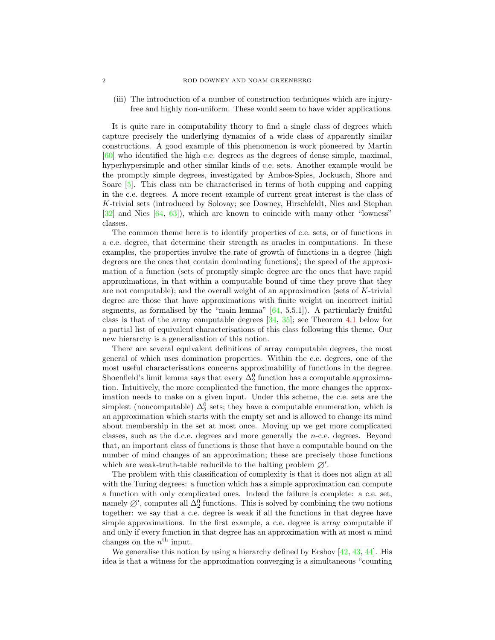(iii) The introduction of a number of construction techniques which are injuryfree and highly non-uniform. These would seem to have wider applications.

It is quite rare in computability theory to find a single class of degrees which capture precisely the underlying dynamics of a wide class of apparently similar constructions. A good example of this phenomenon is work pioneered by Martin [\[60\]](#page-32-1) who identified the high c.e. degrees as the degrees of dense simple, maximal, hyperhypersimple and other similar kinds of c.e. sets. Another example would be the promptly simple degrees, investigated by Ambos-Spies, Jockusch, Shore and Soare [\[5\]](#page-30-0). This class can be characterised in terms of both cupping and capping in the c.e. degrees. A more recent example of current great interest is the class of K-trivial sets (introduced by Solovay; see Downey, Hirschfeldt, Nies and Stephan  $[32]$  and Nies  $[64, 63]$  $[64, 63]$ , which are known to coincide with many other "lowness" classes.

The common theme here is to identify properties of c.e. sets, or of functions in a c.e. degree, that determine their strength as oracles in computations. In these examples, the properties involve the rate of growth of functions in a degree (high degrees are the ones that contain dominating functions); the speed of the approximation of a function (sets of promptly simple degree are the ones that have rapid approximations, in that within a computable bound of time they prove that they are not computable); and the overall weight of an approximation (sets of  $K$ -trivial degree are those that have approximations with finite weight on incorrect initial segments, as formalised by the "main lemma"  $[64, 5.5.1]$ ). A particularly fruitful class is that of the array computable degrees [\[34,](#page-32-2) [35\]](#page-32-3); see Theorem [4.1](#page-8-0) below for a partial list of equivalent characterisations of this class following this theme. Our new hierarchy is a generalisation of this notion.

There are several equivalent definitions of array computable degrees, the most general of which uses domination properties. Within the c.e. degrees, one of the most useful characterisations concerns approximability of functions in the degree. Shoenfield's limit lemma says that every  $\Delta_2^0$  function has a computable approximation. Intuitively, the more complicated the function, the more changes the approximation needs to make on a given input. Under this scheme, the c.e. sets are the simplest (noncomputable)  $\Delta_2^0$  sets; they have a computable enumeration, which is an approximation which starts with the empty set and is allowed to change its mind about membership in the set at most once. Moving up we get more complicated classes, such as the d.c.e. degrees and more generally the n-c.e. degrees. Beyond that, an important class of functions is those that have a computable bound on the number of mind changes of an approximation; these are precisely those functions which are weak-truth-table reducible to the halting problem  $\varnothing'$ .

The problem with this classification of complexity is that it does not align at all with the Turing degrees: a function which has a simple approximation can compute a function with only complicated ones. Indeed the failure is complete: a c.e. set, namely  $\emptyset'$ , computes all  $\Delta_2^0$  functions. This is solved by combining the two notions together: we say that a c.e. degree is weak if all the functions in that degree have simple approximations. In the first example, a c.e. degree is array computable if and only if every function in that degree has an approximation with at most  $n$  mind changes on the  $n<sup>th</sup>$  input.

We generalise this notion by using a hierarchy defined by Ershov [\[42,](#page-32-4) [43,](#page-32-5) [44\]](#page-32-6). His idea is that a witness for the approximation converging is a simultaneous "counting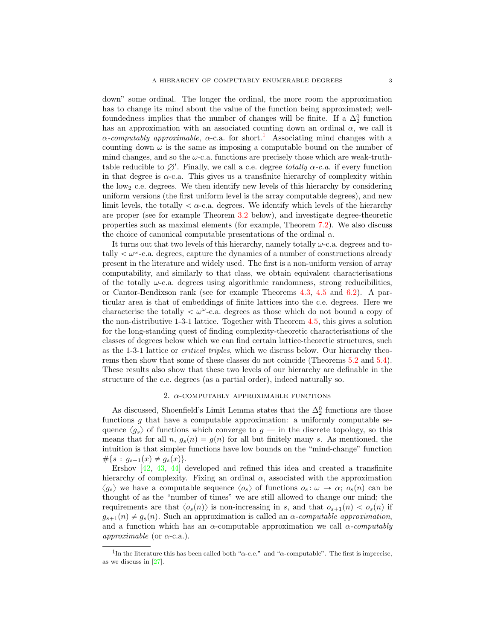down" some ordinal. The longer the ordinal, the more room the approximation has to change its mind about the value of the function being approximated; wellfoundedness implies that the number of changes will be finite. If a  $\Delta_2^0$  function has an approximation with an associated counting down an ordinal  $\alpha$ , we call it  $\alpha$ -computably approximable,  $\alpha$ -c.a. for short.<sup>[1](#page-2-0)</sup> Associating mind changes with a counting down  $\omega$  is the same as imposing a computable bound on the number of mind changes, and so the  $\omega$ -c.a. functions are precisely those which are weak-truthtable reducible to  $\emptyset'$ . Finally, we call a c.e. degree *totally*  $\alpha$ *-c.a.* if every function in that degree is  $\alpha$ -c.a. This gives us a transfinite hierarchy of complexity within the  $low_2$  c.e. degrees. We then identify new levels of this hierarchy by considering uniform versions (the first uniform level is the array computable degrees), and new limit levels, the totally  $\langle \alpha$ -c.a. degrees. We identify which levels of the hierarchy are proper (see for example Theorem [3.2](#page-4-0) below), and investigate degree-theoretic properties such as maximal elements (for example, Theorem [7.2\)](#page-25-0). We also discuss the choice of canonical computable presentations of the ordinal  $\alpha$ .

It turns out that two levels of this hierarchy, namely totally  $\omega$ -c.a. degrees and totally  $\langle \omega^{\omega}$ -c.a. degrees, capture the dynamics of a number of constructions already present in the literature and widely used. The first is a non-uniform version of array computability, and similarly to that class, we obtain equivalent characterisations of the totally  $\omega$ -c.a. degrees using algorithmic randomness, strong reducibilities, or Cantor-Bendixson rank (see for example Theorems [4.3,](#page-10-0) [4.5](#page-11-0) and [6.2\)](#page-21-0). A particular area is that of embeddings of finite lattices into the c.e. degrees. Here we characterise the totally  $\langle \omega^{\omega}$ -c.a. degrees as those which do not bound a copy of the non-distributive 1-3-1 lattice. Together with Theorem [4.5,](#page-11-0) this gives a solution for the long-standing quest of finding complexity-theoretic characterisations of the classes of degrees below which we can find certain lattice-theoretic structures, such as the 1-3-1 lattice or critical triples, which we discuss below. Our hierarchy theorems then show that some of these classes do not coincide (Theorems [5.2](#page-16-0) and [5.4\)](#page-18-0). These results also show that these two levels of our hierarchy are definable in the structure of the c.e. degrees (as a partial order), indeed naturally so.

### 2.  $\alpha$ -COMPUTABLY APPROXIMABLE FUNCTIONS

As discussed, Shoenfield's Limit Lemma states that the  $\Delta_2^0$  functions are those functions  $g$  that have a computable approximation: a uniformly computable sequence  $\langle g_s \rangle$  of functions which converge to  $g$  — in the discrete topology, so this means that for all  $n, g_s(n) = g(n)$  for all but finitely many s. As mentioned, the intuition is that simpler functions have low bounds on the "mind-change" function  $# \{s : g_{s+1}(x) \neq g_s(x)\}.$ 

Ershov [\[42,](#page-32-4) [43,](#page-32-5) [44\]](#page-32-6) developed and refined this idea and created a transfinite hierarchy of complexity. Fixing an ordinal  $\alpha$ , associated with the approximation  $\langle g_s \rangle$  we have a computable sequence  $\langle o_s \rangle$  of functions  $o_s : \omega \to \alpha$ ;  $o_s(n)$  can be thought of as the "number of times" we are still allowed to change our mind; the requirements are that  $\langle o_s(n) \rangle$  is non-increasing in s, and that  $o_{s+1}(n) < o_s(n)$  if  $g_{s+1}(n) \neq g_s(n)$ . Such an approximation is called an  $\alpha$ -computable approximation, and a function which has an  $\alpha$ -computable approximation we call  $\alpha$ -computably approximable (or  $\alpha$ -c.a.).

<span id="page-2-0"></span><sup>&</sup>lt;sup>1</sup>In the literature this has been called both " $\alpha$ -c.e." and " $\alpha$ -computable". The first is imprecise, as we discuss in [\[27\]](#page-31-1).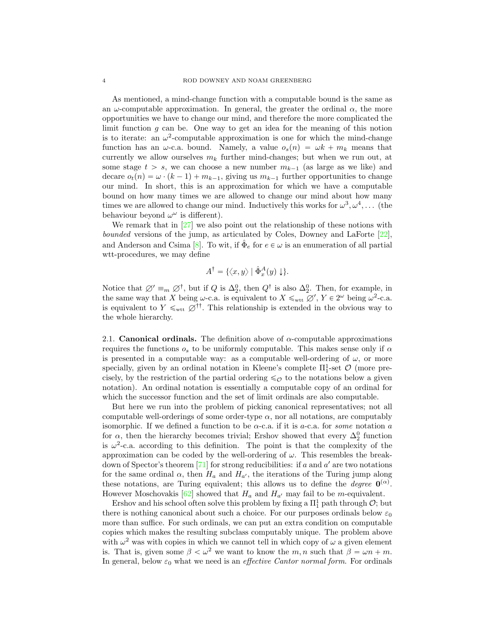As mentioned, a mind-change function with a computable bound is the same as an  $\omega$ -computable approximation. In general, the greater the ordinal  $\alpha$ , the more opportunities we have to change our mind, and therefore the more complicated the limit function  $g$  can be. One way to get an idea for the meaning of this notion is to iterate: an  $\omega^2$ -computable approximation is one for which the mind-change function has an  $\omega$ -c.a. bound. Namely, a value  $o_s(n) = \omega k + m_k$  means that currently we allow ourselves  $m_k$  further mind-changes; but when we run out, at some stage  $t > s$ , we can choose a new number  $m_{k-1}$  (as large as we like) and decare  $o_t(n) = \omega \cdot (k - 1) + m_{k-1}$ , giving us  $m_{k-1}$  further opportunities to change our mind. In short, this is an approximation for which we have a computable bound on how many times we are allowed to change our mind about how many times we are allowed to change our mind. Inductively this works for  $\omega^3, \omega^4, \ldots$  (the behaviour beyond  $\omega^{\omega}$  is different).

We remark that in [\[27\]](#page-31-1) we also point out the relationship of these notions with bounded versions of the jump, as articulated by Coles, Downey and LaForte [\[22\]](#page-31-5), and Anderson and Csima [\[8\]](#page-31-6). To wit, if  $\hat{\Phi}_e$  for  $e \in \omega$  is an enumeration of all partial wtt-procedures, we may define

$$
A^{\dagger} = \{ \langle x, y \rangle \mid \hat{\Phi}_x^A(y) \downarrow \}.
$$

Notice that  $\varnothing' \equiv_m \varnothing^{\dagger}$ , but if  $Q$  is  $\Delta_2^0$ , then  $Q^{\dagger}$  is also  $\Delta_2^0$ . Then, for example, in the same way that X being  $\omega$ -c.a. is equivalent to  $X \leq_{\text{wtt}} \varnothing'$ ,  $Y \in 2^{\omega}$  being  $\omega^2$ -c.a. is equivalent to  $Y \leq_{\text{wtt}} \varnothing^{\dagger}$ . This relationship is extended in the obvious way to the whole hierarchy.

2.1. **Canonical ordinals.** The definition above of  $\alpha$ -computable approximations requires the functions  $o_s$  to be uniformly computable. This makes sense only if  $\alpha$ is presented in a computable way: as a computable well-ordering of  $\omega$ , or more specially, given by an ordinal notation in Kleene's complete  $\Pi^1_1$ -set  $\mathcal O$  (more precisely, by the restriction of the partial ordering  $\leq_{\mathcal{O}}$  to the notations below a given notation). An ordinal notation is essentially a computable copy of an ordinal for which the successor function and the set of limit ordinals are also computable.

But here we run into the problem of picking canonical representatives; not all computable well-orderings of some order-type  $\alpha$ , nor all notations, are computably isomorphic. If we defined a function to be  $\alpha$ -c.a. if it is  $a$ -c.a. for some notation a for  $\alpha$ , then the hierarchy becomes trivial; Ershov showed that every  $\Delta_2^0$  function is  $\omega^2$ -c.a. according to this definition. The point is that the complexity of the approximation can be coded by the well-ordering of  $\omega$ . This resembles the breakdown of Spector's theorem  $[71]$  for strong reducibilities: if a and a' are two notations for the same ordinal  $\alpha$ , then  $H_a$  and  $H_{a'}$ , the iterations of the Turing jump along these notations, are Turing equivalent; this allows us to define the *degree*  $\mathbf{0}^{(\alpha)}$ . However Moschovakis [\[62\]](#page-33-6) showed that  $H_a$  and  $H_{a'}$  may fail to be m-equivalent.

Ershov and his school often solve this problem by fixing a  $\Pi^1_1$  path through  $\mathcal{O}$ ; but there is nothing canonical about such a choice. For our purposes ordinals below  $\varepsilon_0$ more than suffice. For such ordinals, we can put an extra condition on computable copies which makes the resulting subclass computably unique. The problem above with  $\omega^2$  was with copies in which we cannot tell in which copy of  $\omega$  a given element is. That is, given some  $\beta < \omega^2$  we want to know the m, n such that  $\beta = \omega n + m$ . In general, below  $\varepsilon_0$  what we need is an *effective Cantor normal form*. For ordinals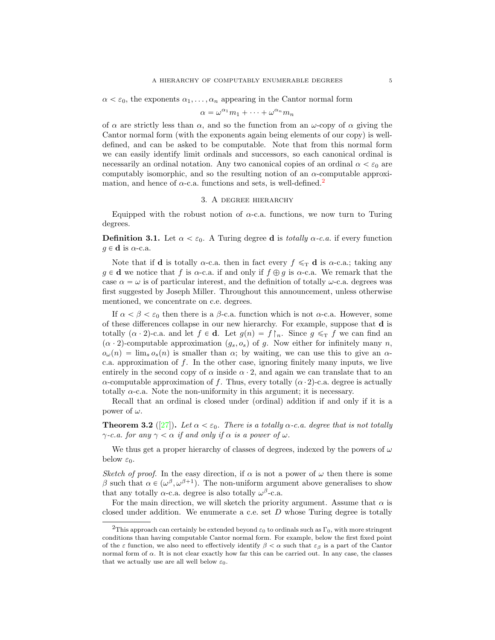#### $\alpha < \varepsilon_0$ , the exponents  $\alpha_1, \ldots, \alpha_n$  appearing in the Cantor normal form

$$
\alpha = \omega^{\alpha_1} m_1 + \dots + \omega^{\alpha_n} m_n
$$

of  $\alpha$  are strictly less than  $\alpha$ , and so the function from an  $\omega$ -copy of  $\alpha$  giving the Cantor normal form (with the exponents again being elements of our copy) is welldefined, and can be asked to be computable. Note that from this normal form we can easily identify limit ordinals and successors, so each canonical ordinal is necessarily an ordinal notation. Any two canonical copies of an ordinal  $\alpha < \varepsilon_0$  are computably isomorphic, and so the resulting notion of an  $\alpha$ -computable approximation, and hence of  $\alpha$ -c.a. functions and sets, is well-defined.<sup>[2](#page-4-1)</sup>

### 3. A degree hierarchy

Equipped with the robust notion of  $\alpha$ -c.a. functions, we now turn to Turing degrees.

<span id="page-4-2"></span>**Definition 3.1.** Let  $\alpha < \varepsilon_0$ . A Turing degree **d** is *totally*  $\alpha$ -c.a. if every function  $g \in \mathbf{d}$  is  $\alpha$ -c.a.

Note that if **d** is totally  $\alpha$ -c.a. then in fact every  $f \leq_T \mathbf{d}$  is  $\alpha$ -c.a.; taking any  $g \in \mathbf{d}$  we notice that f is  $\alpha$ -c.a. if and only if  $f \oplus g$  is  $\alpha$ -c.a. We remark that the case  $\alpha = \omega$  is of particular interest, and the definition of totally  $\omega$ -c.a. degrees was first suggested by Joseph Miller. Throughout this announcement, unless otherwise mentioned, we concentrate on c.e. degrees.

If  $\alpha < \beta < \varepsilon_0$  then there is a  $\beta$ -c.a. function which is not  $\alpha$ -c.a. However, some of these differences collapse in our new hierarchy. For example, suppose that d is totally  $(\alpha \cdot 2)$ -c.a. and let  $f \in \mathbf{d}$ . Let  $g(n) = f \upharpoonright_n$ . Since  $g \leq_T f$  we can find an  $(\alpha \cdot 2)$ -computable approximation  $(g_s, o_s)$  of g. Now either for infinitely many n,  $o_{\omega}(n) = \lim_{s \to s}(n)$  is smaller than  $\alpha$ ; by waiting, we can use this to give an  $\alpha$ c.a. approximation of  $f$ . In the other case, ignoring finitely many inputs, we live entirely in the second copy of  $\alpha$  inside  $\alpha \cdot 2$ , and again we can translate that to an  $\alpha$ -computable approximation of f. Thus, every totally  $(\alpha \cdot 2)$ -c.a. degree is actually totally  $\alpha$ -c.a. Note the non-uniformity in this argument; it is necessary.

Recall that an ordinal is closed under (ordinal) addition if and only if it is a power of  $\omega$ .

<span id="page-4-0"></span>**Theorem 3.2** ([\[27\]](#page-31-1)). Let  $\alpha < \varepsilon_0$ . There is a totally  $\alpha$ -c.a. degree that is not totally  $\gamma$ -c.a. for any  $\gamma < \alpha$  if and only if  $\alpha$  is a power of  $\omega$ .

We thus get a proper hierarchy of classes of degrees, indexed by the powers of  $\omega$ below  $\varepsilon_0$ .

Sketch of proof. In the easy direction, if  $\alpha$  is not a power of  $\omega$  then there is some β such that  $\alpha \in (\omega^{\beta}, \omega^{\beta+1})$ . The non-uniform argument above generalises to show that any totally  $\alpha$ -c.a. degree is also totally  $\omega^{\beta}$ -c.a.

For the main direction, we will sketch the priority argument. Assume that  $\alpha$  is closed under addition. We enumerate a c.e. set  $D$  whose Turing degree is totally

<span id="page-4-1"></span><sup>&</sup>lt;sup>2</sup>This approach can certainly be extended beyond  $\varepsilon_0$  to ordinals such as  $\Gamma_0$ , with more stringent conditions than having computable Cantor normal form. For example, below the first fixed point of the  $\varepsilon$  function, we also need to effectively identify  $\beta < \alpha$  such that  $\varepsilon_\beta$  is a part of the Cantor normal form of α. It is not clear exactly how far this can be carried out. In any case, the classes that we actually use are all well below  $\varepsilon_0$ .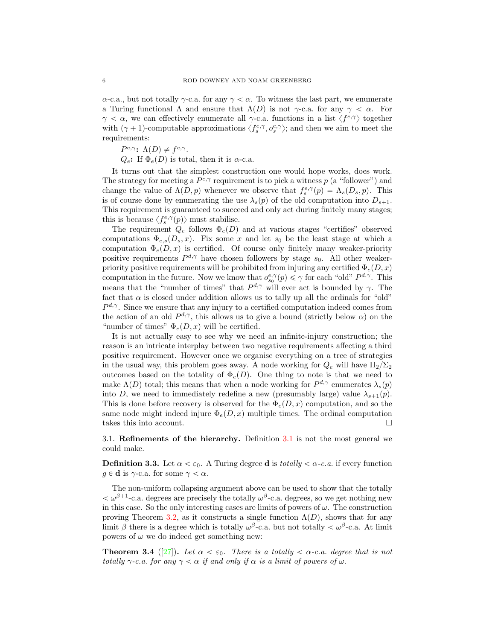$\alpha$ -c.a., but not totally  $\gamma$ -c.a. for any  $\gamma < \alpha$ . To witness the last part, we enumerate a Turing functional  $\Lambda$  and ensure that  $\Lambda(D)$  is not  $\gamma$ -c.a. for any  $\gamma < \alpha$ . For  $\gamma < \alpha$ , we can effectively enumerate all  $\gamma$ -c.a. functions in a list  $\langle f^{e,\gamma} \rangle$  together with  $(\gamma + 1)$ -computable approximations  $\langle f_s^{e,\gamma}, o_s^{e,\gamma} \rangle$ ; and then we aim to meet the requirements:

 $P^{e,\gamma}$ :  $\Lambda(D) \neq f^{e,\gamma}$ .

 $Q_e$ : If  $\Phi_e(D)$  is total, then it is  $\alpha$ -c.a.

It turns out that the simplest construction one would hope works, does work. The strategy for meeting a  $P^{e,\gamma}$  requirement is to pick a witness p (a "follower") and change the value of  $\Lambda(D, p)$  whenever we observe that  $f_s^{e, \gamma}(p) = \Lambda_s(D_s, p)$ . This is of course done by enumerating the use  $\lambda_s(p)$  of the old computation into  $D_{s+1}$ . This requirement is guaranteed to succeed and only act during finitely many stages; this is because  $\langle f_s^{e,\gamma}(p) \rangle$  must stabilise.

The requirement  $Q_e$  follows  $\Phi_e(D)$  and at various stages "certifies" observed computations  $\Phi_{e,s}(D_s, x)$ . Fix some x and let  $s_0$  be the least stage at which a computation  $\Phi_e(D, x)$  is certified. Of course only finitely many weaker-priority positive requirements  $P^{d,\gamma}$  have chosen followers by stage  $s_0$ . All other weakerpriority positive requirements will be prohibited from injuring any certified  $\Phi_e(D, x)$ computation in the future. Now we know that  $o_{s_0}^{e,\gamma}(p) \leq \gamma$  for each "old"  $P^{d,\gamma}$ . This means that the "number of times" that  $P^{d,\gamma}$  will ever act is bounded by  $\gamma$ . The fact that  $\alpha$  is closed under addition allows us to tally up all the ordinals for "old"  $P^{d,\gamma}$ . Since we ensure that any injury to a certified computation indeed comes from the action of an old  $P^{d,\gamma}$ , this allows us to give a bound (strictly below  $\alpha$ ) on the "number of times"  $\Phi_e(D, x)$  will be certified.

It is not actually easy to see why we need an infinite-injury construction; the reason is an intricate interplay between two negative requirements affecting a third positive requirement. However once we organise everything on a tree of strategies in the usual way, this problem goes away. A node working for  $Q_e$  will have  $\Pi_2/\Sigma_2$ outcomes based on the totality of  $\Phi_e(D)$ . One thing to note is that we need to make  $\Lambda(D)$  total; this means that when a node working for  $P^{d,\gamma}$  enumerates  $\lambda_s(p)$ into D, we need to immediately redefine a new (presumably large) value  $\lambda_{s+1}(p)$ . This is done before recovery is observed for the  $\Phi_e(D, x)$  computation, and so the same node might indeed injure  $\Phi_e(D, x)$  multiple times. The ordinal computation takes this into account.

3.1. Refinements of the hierarchy. Definition [3.1](#page-4-2) is not the most general we could make.

**Definition 3.3.** Let  $\alpha < \varepsilon_0$ . A Turing degree **d** is totally  $< \alpha$ -c.a. if every function  $q \in \mathbf{d}$  is  $\gamma$ -c.a. for some  $\gamma < \alpha$ .

The non-uniform collapsing argument above can be used to show that the totally  $<\omega^{\beta+1}$ -c.a. degrees are precisely the totally  $\omega^{\beta}$ -c.a. degrees, so we get nothing new in this case. So the only interesting cases are limits of powers of  $\omega$ . The construction proving Theorem [3.2,](#page-4-0) as it constructs a single function  $\Lambda(D)$ , shows that for any limit  $\beta$  there is a degree which is totally  $\omega^{\beta}$ -c.a. but not totally  $\langle \omega^{\beta}$ -c.a. At limit powers of  $\omega$  we do indeed get something new:

<span id="page-5-0"></span>**Theorem 3.4** ([\[27\]](#page-31-1)). Let  $\alpha < \varepsilon_0$ . There is a totally  $\alpha < \alpha$ -c.a. degree that is not totally  $\gamma$ -c.a. for any  $\gamma < \alpha$  if and only if  $\alpha$  is a limit of powers of  $\omega$ .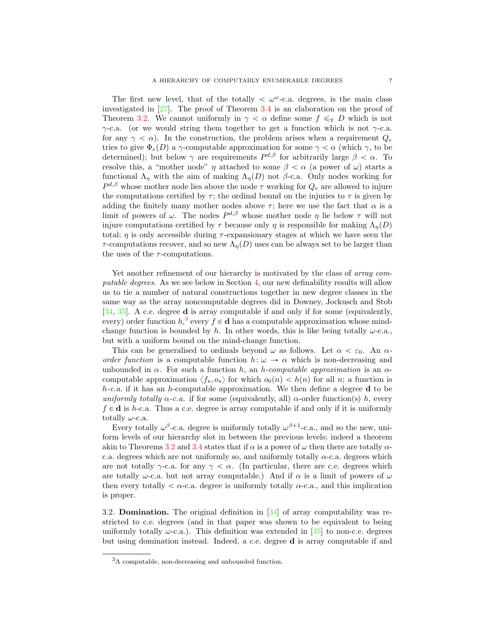The first new level, that of the totally  $\langle \omega^{\omega}$ -c.a. degrees, is the main class investigated in [\[27\]](#page-31-1). The proof of Theorem [3.4](#page-5-0) is an elaboration on the proof of Theorem [3.2.](#page-4-0) We cannot uniformly in  $\gamma < \alpha$  define some  $f \leq_T D$  which is not  $\gamma$ -c.a. (or we would string them together to get a function which is not  $\gamma$ -c.a. for any  $\gamma < \alpha$ ). In the construction, the problem arises when a requirement  $Q_e$ tries to give  $\Phi_e(D)$  a γ-computable approximation for some  $\gamma < \alpha$  (which  $\gamma$ , to be determined); but below  $\gamma$  are requirements  $P^{d,\beta}$  for arbitrarily large  $\beta < \alpha$ . To resolve this, a "mother node"  $\eta$  attached to some  $\beta < \alpha$  (a power of  $\omega$ ) starts a functional  $\Lambda_{\eta}$  with the aim of making  $\Lambda_{\eta}(D)$  not  $\beta$ -c.a. Only nodes working for  $P^{d,\beta}$  whose mother node lies above the node  $\tau$  working for  $Q_e$  are allowed to injure the computations certified by  $\tau$ ; the ordinal bound on the injuries to  $\tau$  is given by adding the finitely many mother nodes above  $\tau$ ; here we use the fact that  $\alpha$  is a limit of powers of  $\omega$ . The nodes  $P^{d,\beta}$  whose mother node  $\eta$  lie below  $\tau$  will not injure computations certified by  $\tau$  because only  $\eta$  is responsible for making  $\Lambda_n(D)$ total;  $\eta$  is only accessible during  $\tau$ -expansionary stages at which we have seen the  $\tau$ -computations recover, and so new  $\Lambda_n(D)$  uses can be always set to be larger than the uses of the  $\tau$ -computations.

Yet another refinement of our hierarchy is motivated by the class of *array com*putable degrees. As we see below in Section [4,](#page-7-0) our new definability results will allow us to tie a number of natural constructions together in new degree classes in the same way as the array noncomputable degrees did in Downey, Jockusch and Stob [\[34,](#page-32-2) [35\]](#page-32-3). A c.e. degree d is array computable if and only if for some (equivalently, every) order function  $h, \frac{3}{5}$  $h, \frac{3}{5}$  $h, \frac{3}{5}$  every  $f \in \mathbf{d}$  has a computable approximation whose mindchange function is bounded by h. In other words, this is like being totally  $\omega$ -c.a., but with a uniform bound on the mind-change function.

This can be generalised to ordinals beyond  $\omega$  as follows. Let  $\alpha < \varepsilon_0$ . An  $\alpha$ order function is a computable function  $h: \omega \to \alpha$  which is non-decreasing and unbounded in  $\alpha$ . For such a function h, an h-computable approximation is an  $\alpha$ computable approximation  $\langle f_s, o_s \rangle$  for which  $o_0(n) < h(n)$  for all n; a function is  $h$ -c.a. if it has an h-computable approximation. We then define a degree d to be uniformly totally  $\alpha$ -c.a. if for some (equivalently, all)  $\alpha$ -order function(s) h, every  $f \in \mathbf{d}$  is h-c.a. Thus a c.e. degree is array computable if and only if it is uniformly totally  $\omega$ -c.a.

Every totally  $\omega^{\beta}$ -c.a. degree is uniformly totally  $\omega^{\beta+1}$ -c.a., and so the new, uniform levels of our hierarchy slot in between the previous levels; indeed a theorem akin to Theorems [3.2](#page-4-0) and [3.4](#page-5-0) states that if  $\alpha$  is a power of  $\omega$  then there are totally  $\alpha$ c.a. degrees which are not uniformly so, and uniformly totally  $\alpha$ -c.a. degrees which are not totally  $\gamma$ -c.a. for any  $\gamma < \alpha$ . (In particular, there are c.e. degrees which are totally  $\omega$ -c.a. but not array computable.) And if  $\alpha$  is a limit of powers of  $\omega$ then every totally  $\alpha$ -c.a. degree is uniformly totally  $\alpha$ -c.a., and this implication is proper.

<span id="page-6-1"></span>3.2. Domination. The original definition in [\[34\]](#page-32-2) of array computability was restricted to c.e. degrees (and in that paper was shown to be equivalent to being uniformly totally  $\omega$ -c.a.). This definition was extended in [\[35\]](#page-32-3) to non-c.e. degrees but using domination instead. Indeed, a c.e. degree d is array computable if and

<span id="page-6-0"></span><sup>3</sup>A computable, non-decreasing and unbounded function.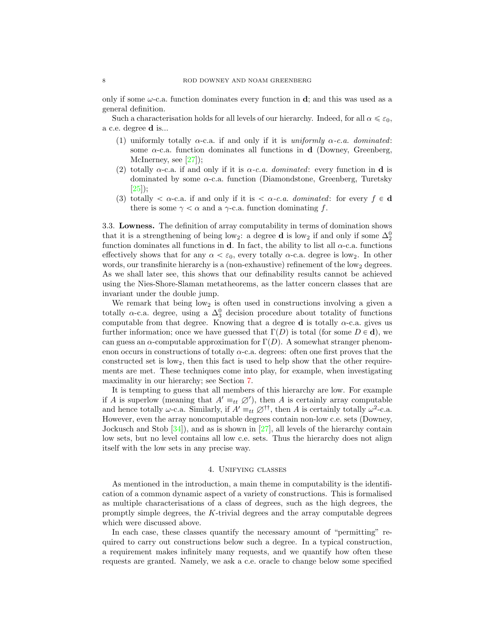only if some  $\omega$ -c.a. function dominates every function in **d**; and this was used as a general definition.

Such a characterisation holds for all levels of our hierarchy. Indeed, for all  $\alpha \leq \varepsilon_0$ , a c.e. degree d is...

- (1) uniformly totally  $\alpha$ -c.a. if and only if it is uniformly  $\alpha$ -c.a. dominated: some  $\alpha$ -c.a. function dominates all functions in **d** (Downey, Greenberg, McInerney, see [\[27\]](#page-31-1));
- (2) totally  $\alpha$ -c.a. if and only if it is  $\alpha$ -c.a. *dominated*: every function in **d** is dominated by some  $\alpha$ -c.a. function (Diamondstone, Greenberg, Turetsky [\[25\]](#page-31-7));
- (3) totally  $\langle \alpha c \cdot a \rangle$  and only if it is  $\langle \alpha c \cdot a \rangle$  dominated: for every  $f \in \mathbf{d}$ there is some  $\gamma < \alpha$  and a  $\gamma$ -c.a. function dominating f.

3.3. Lowness. The definition of array computability in terms of domination shows that it is a strengthening of being low<sub>2</sub>: a degree **d** is low<sub>2</sub> if and only if some  $\Delta_2^0$ function dominates all functions in d. In fact, the ability to list all  $\alpha$ -c.a. functions effectively shows that for any  $\alpha < \varepsilon_0$ , every totally  $\alpha$ -c.a. degree is low<sub>2</sub>. In other words, our transfinite hierarchy is a (non-exhaustive) refinement of the  $\log_2$  degrees. As we shall later see, this shows that our definability results cannot be achieved using the Nies-Shore-Slaman metatheorems, as the latter concern classes that are invariant under the double jump.

We remark that being  $low_2$  is often used in constructions involving a given a totally  $\alpha$ -c.a. degree, using a  $\Delta_3^0$  decision procedure about totality of functions computable from that degree. Knowing that a degree **d** is totally  $\alpha$ -c.a. gives us further information; once we have guessed that  $\Gamma(D)$  is total (for some  $D \in \mathbf{d}$ ), we can guess an  $\alpha$ -computable approximation for  $\Gamma(D)$ . A somewhat stranger phenomenon occurs in constructions of totally  $\alpha$ -c.a. degrees: often one first proves that the constructed set is low2, then this fact is used to help show that the other requirements are met. These techniques come into play, for example, when investigating maximality in our hierarchy; see Section [7.](#page-24-0)

It is tempting to guess that all members of this hierarchy are low. For example if A is superlow (meaning that  $A' \equiv_{tt} \varnothing'$ ), then A is certainly array computable and hence totally  $\omega$ -c.a. Similarly, if  $A' \equiv_{tt} \varnothing^{\dagger \dagger}$ , then A is certainly totally  $\omega^2$ -c.a. However, even the array noncomputable degrees contain non-low c.e. sets (Downey, Jockusch and Stob [\[34\]](#page-32-2)), and as is shown in [\[27\]](#page-31-1), all levels of the hierarchy contain low sets, but no level contains all low c.e. sets. Thus the hierarchy does not align itself with the low sets in any precise way.

## 4. Unifying classes

<span id="page-7-0"></span>As mentioned in the introduction, a main theme in computability is the identification of a common dynamic aspect of a variety of constructions. This is formalised as multiple characterisations of a class of degrees, such as the high degrees, the promptly simple degrees, the  $K$ -trivial degrees and the array computable degrees which were discussed above.

In each case, these classes quantify the necessary amount of "permitting" required to carry out constructions below such a degree. In a typical construction, a requirement makes infinitely many requests, and we quantify how often these requests are granted. Namely, we ask a c.e. oracle to change below some specified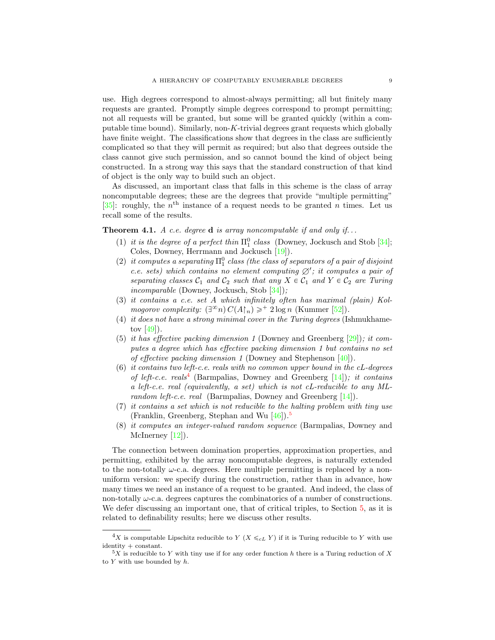use. High degrees correspond to almost-always permitting; all but finitely many requests are granted. Promptly simple degrees correspond to prompt permitting; not all requests will be granted, but some will be granted quickly (within a computable time bound). Similarly, non-K-trivial degrees grant requests which globally have finite weight. The classifications show that degrees in the class are sufficiently complicated so that they will permit as required; but also that degrees outside the class cannot give such permission, and so cannot bound the kind of object being constructed. In a strong way this says that the standard construction of that kind of object is the only way to build such an object.

As discussed, an important class that falls in this scheme is the class of array noncomputable degrees; these are the degrees that provide "multiple permitting" [\[35\]](#page-32-3): roughly, the  $n<sup>th</sup>$  instance of a request needs to be granted n times. Let us recall some of the results.

<span id="page-8-0"></span>**Theorem 4.1.** A c.e. degree **d** is array noncomputable if and only if...

- (1) it is the degree of a perfect thin  $\Pi_1^0$  class (Downey, Jockusch and Stob [\[34\]](#page-32-2); Coles, Downey, Herrmann and Jockusch [\[19\]](#page-31-8)).
- <span id="page-8-4"></span>(2) it computes a separating  $\Pi_1^0$  class (the class of separators of a pair of disjoint c.e. sets) which contains no element computing  $\emptyset'$ ; it computes a pair of separating classes  $C_1$  and  $C_2$  such that any  $X \in C_1$  and  $Y \in C_2$  are Turing incomparable (Downey, Jockusch, Stob [\[34\]](#page-32-2));
- (3) it contains a c.e. set A which infinitely often has maximal (plain) Kolmogorov complexity:  $(\exists^{\infty} n) C(A\upharpoonright_n) \geq^+ 2 \log n$  (Kummer [\[52\]](#page-32-7)).
- (4) it does not have a strong minimal cover in the Turing degrees (Ishmukhametov  $[49]$ .
- (5) it has effective packing dimension 1 (Downey and Greenberg [\[29\]](#page-31-9)); it computes a degree which has effective packing dimension 1 but contains no set of effective packing dimension 1 (Downey and Stephenson [\[40\]](#page-32-9)).
- <span id="page-8-3"></span> $(6)$  it contains two left-c.e. reals with no common upper bound in the cL-degrees of left-c.e. reals<sup>[4](#page-8-1)</sup> (Barmpalias, Downey and Greenberg  $[14]$ ); it contains a left-c.e. real (equivalently, a set) which is not cL-reducible to any ML-random left-c.e. real (Barmpalias, Downey and Greenberg [\[14\]](#page-31-10)).
- (7) it contains a set which is not reducible to the halting problem with tiny use (Franklin, Greenberg, Stephan and Wu [\[46\]](#page-32-10)). [5](#page-8-2)
- (8) it computes an integer-valued random sequence (Barmpalias, Downey and McInerney [\[12\]](#page-31-11)).

The connection between domination properties, approximation properties, and permitting, exhibited by the array noncomputable degrees, is naturally extended to the non-totally  $\omega$ -c.a. degrees. Here multiple permitting is replaced by a nonuniform version: we specify during the construction, rather than in advance, how many times we need an instance of a request to be granted. And indeed, the class of non-totally  $\omega$ -c.a. degrees captures the combinatorics of a number of constructions. We defer discussing an important one, that of critical triples, to Section [5,](#page-14-0) as it is related to definability results; here we discuss other results.

<span id="page-8-1"></span><sup>&</sup>lt;sup>4</sup>X is computable Lipschitz reducible to Y (X  $\leq_{cL}$  Y) if it is Turing reducible to Y with use identity + constant.

<span id="page-8-2"></span> $5X$  is reducible to Y with tiny use if for any order function h there is a Turing reduction of X to  $Y$  with use bounded by  $h$ .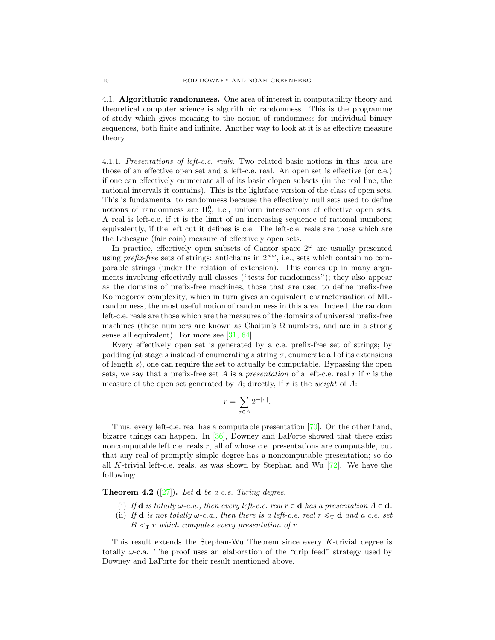4.1. Algorithmic randomness. One area of interest in computability theory and theoretical computer science is algorithmic randomness. This is the programme of study which gives meaning to the notion of randomness for individual binary sequences, both finite and infinite. Another way to look at it is as effective measure theory.

4.1.1. Presentations of left-c.e. reals. Two related basic notions in this area are those of an effective open set and a left-c.e. real. An open set is effective (or c.e.) if one can effectively enumerate all of its basic clopen subsets (in the real line, the rational intervals it contains). This is the lightface version of the class of open sets. This is fundamental to randomness because the effectively null sets used to define notions of randomness are  $\Pi_2^0$ , i.e., uniform intersections of effective open sets. A real is left-c.e. if it is the limit of an increasing sequence of rational numbers; equivalently, if the left cut it defines is c.e. The left-c.e. reals are those which are the Lebesgue (fair coin) measure of effectively open sets.

In practice, effectively open subsets of Cantor space  $2^{\omega}$  are usually presented using *prefix-free* sets of strings: antichains in  $2<sup>{\infty}</sup>$ , i.e., sets which contain no comparable strings (under the relation of extension). This comes up in many arguments involving effectively null classes ("tests for randomness"); they also appear as the domains of prefix-free machines, those that are used to define prefix-free Kolmogorov complexity, which in turn gives an equivalent characterisation of MLrandomness, the most useful notion of randomness in this area. Indeed, the random left-c.e. reals are those which are the measures of the domains of universal prefix-free machines (these numbers are known as Chaitin's  $\Omega$  numbers, and are in a strong sense all equivalent). For more see [\[31,](#page-31-12) [64\]](#page-33-3).

Every effectively open set is generated by a c.e. prefix-free set of strings; by padding (at stage s instead of enumerating a string  $\sigma$ , enumerate all of its extensions of length s), one can require the set to actually be computable. Bypassing the open sets, we say that a prefix-free set A is a presentation of a left-c.e. real r if r is the measure of the open set generated by A; directly, if r is the weight of A:

$$
r = \sum_{\sigma \in A} 2^{-|\sigma|}.
$$

Thus, every left-c.e. real has a computable presentation [\[70\]](#page-33-7). On the other hand, bizarre things can happen. In [\[36\]](#page-32-11), Downey and LaForte showed that there exist noncomputable left c.e. reals r, all of whose c.e. presentations are computable, but that any real of promptly simple degree has a noncomputable presentation; so do all K-trivial left-c.e. reals, as was shown by Stephan and Wu [\[72\]](#page-33-8). We have the following:

# <span id="page-9-0"></span>**Theorem 4.2** ([\[27\]](#page-31-1)). Let **d** be a c.e. Turing degree.

- (i) If  $d$  is totally  $\omega$ -c.a., then every left-c.e. real  $r \in d$  has a presentation  $A \in d$ .
- (ii) If **d** is not totally  $\omega$ -c.a., then there is a left-c.e. real  $r \leq_T \mathbf{d}$  and a c.e. set  $B \leq_T r$  which computes every presentation of r.

This result extends the Stephan-Wu Theorem since every K-trivial degree is totally  $\omega$ -c.a. The proof uses an elaboration of the "drip feed" strategy used by Downey and LaForte for their result mentioned above.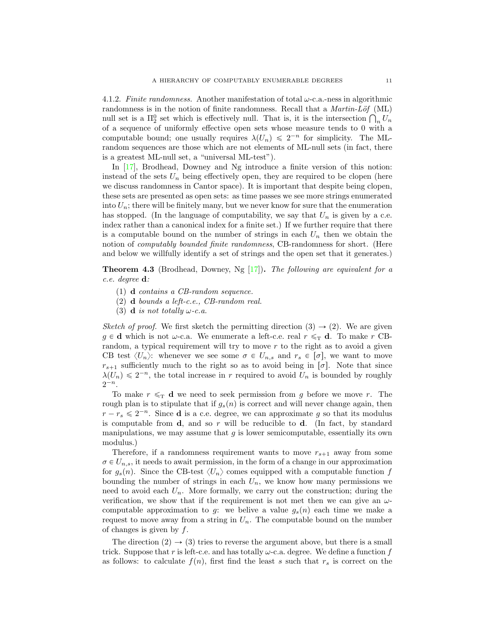4.1.2. Finite randomness. Another manifestation of total  $\omega$ -c.a.-ness in algorithmic randomness is in the notion of finite randomness. Recall that a  $Martin\text{-}Löf$  (ML) randomness is in the notion of finite randomness. Recall that a *Martin-Lof* (ML) null set is a  $\Pi_2^0$  set which is effectively null. That is, it is the intersection  $\bigcap_n U_n$ of a sequence of uniformly effective open sets whose measure tends to 0 with a computable bound; one usually requires  $\lambda(U_n) \leq 2^{-n}$  for simplicity. The MLrandom sequences are those which are not elements of ML-null sets (in fact, there is a greatest ML-null set, a "universal ML-test").

In [\[17\]](#page-31-13), Brodhead, Downey and Ng introduce a finite version of this notion: instead of the sets  $U_n$  being effectively open, they are required to be clopen (here we discuss randomness in Cantor space). It is important that despite being clopen, these sets are presented as open sets: as time passes we see more strings enumerated into  $U_n$ ; there will be finitely many, but we never know for sure that the enumeration has stopped. (In the language of computability, we say that  $U_n$  is given by a c.e. index rather than a canonical index for a finite set.) If we further require that there is a computable bound on the number of strings in each  $U_n$  then we obtain the notion of computably bounded finite randomness, CB-randomness for short. (Here and below we willfully identify a set of strings and the open set that it generates.)

<span id="page-10-0"></span>**Theorem 4.3** (Brodhead, Downey, Ng  $[17]$ ). The following are equivalent for a c.e. degree d:

- (1) d contains a CB-random sequence.
- (2) d bounds a left-c.e., CB-random real.
- (3) **d** is not totally  $\omega$ -c.a.

Sketch of proof. We first sketch the permitting direction  $(3) \rightarrow (2)$ . We are given  $g \in \mathbf{d}$  which is not  $\omega$ -c.a. We enumerate a left-c.e. real  $r \leq_T \mathbf{d}$ . To make r CBrandom, a typical requirement will try to move  $r$  to the right as to avoid a given CB test  $\langle U_n \rangle$ : whenever we see some  $\sigma \in U_{n,s}$  and  $r_s \in [\sigma]$ , we want to move  $r_{s+1}$  sufficiently much to the right so as to avoid being in  $[\sigma]$ . Note that since  $\lambda(U_n) \leq 2^{-n}$ , the total increase in r required to avoid  $U_n$  is bounded by roughly  $2^{-n}$ .

To make  $r \leq_T d$  we need to seek permission from g before we move r. The rough plan is to stipulate that if  $g_s(n)$  is correct and will never change again, then  $r - r_s \leqslant 2^{-n}$ . Since **d** is a c.e. degree, we can approximate g so that its modulus is computable from  $\mathbf{d}$ , and so r will be reducible to  $\mathbf{d}$ . (In fact, by standard manipulations, we may assume that  $g$  is lower semicomputable, essentially its own modulus.)

Therefore, if a randomness requirement wants to move  $r_{s+1}$  away from some  $\sigma \in U_{n,s}$ , it needs to await permission, in the form of a change in our approximation for  $g_s(n)$ . Since the CB-test  $\langle U_n \rangle$  comes equipped with a computable function f bounding the number of strings in each  $U_n$ , we know how many permissions we need to avoid each  $U_n$ . More formally, we carry out the construction; during the verification, we show that if the requirement is not met then we can give an  $\omega$ computable approximation to g: we belive a value  $g_s(n)$  each time we make a request to move away from a string in  $U_n$ . The computable bound on the number of changes is given by  $f$ .

The direction  $(2) \rightarrow (3)$  tries to reverse the argument above, but there is a small trick. Suppose that r is left-c.e. and has totally  $\omega$ -c.a. degree. We define a function f as follows: to calculate  $f(n)$ , first find the least s such that  $r<sub>s</sub>$  is correct on the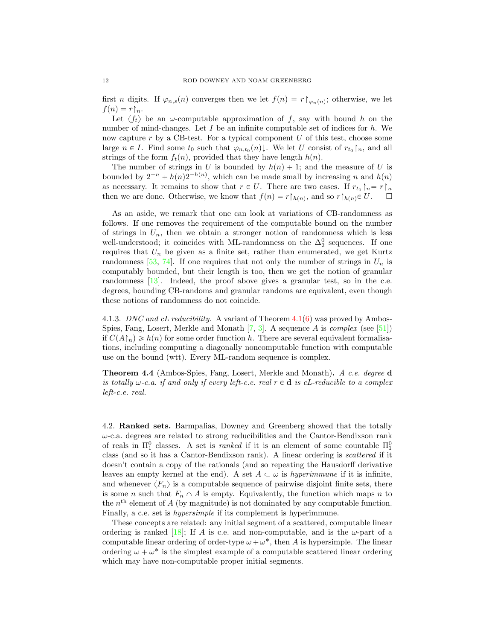first *n* digits. If  $\varphi_{n,s}(n)$  converges then we let  $f(n) = r \upharpoonright_{\varphi_n(n)}$ ; otherwise, we let  $f(n) = r \upharpoonright_n$ .

Let  $\langle f_t \rangle$  be an  $\omega$ -computable approximation of f, say with bound h on the number of mind-changes. Let  $I$  be an infinite computable set of indices for  $h$ . We now capture  $r$  by a CB-test. For a typical component  $U$  of this test, choose some large  $n \in I$ . Find some  $t_0$  such that  $\varphi_{n,t_0}(n) \downarrow$ . We let U consist of  $r_{t_0} \upharpoonright_n$ , and all strings of the form  $f_t(n)$ , provided that they have length  $h(n)$ .

The number of strings in U is bounded by  $h(n) + 1$ ; and the measure of U is bounded by  $2^{-n} + h(n)2^{-h(n)}$ , which can be made small by increasing n and  $h(n)$ as necessary. It remains to show that  $r \in U$ . There are two cases. If  $r_{t_0} \upharpoonright_n = r \upharpoonright_n$ then we are done. Otherwise, we know that  $f(n) = r \upharpoonright_{h(n)}$ , and so  $r \upharpoonright_{h(n)} \in U$ .  $\Box$ 

As an aside, we remark that one can look at variations of CB-randomness as follows. If one removes the requirement of the computable bound on the number of strings in  $U_n$ , then we obtain a stronger notion of randomness which is less well-understood; it coincides with ML-randomness on the  $\Delta_2^0$  sequences. If one requires that  $U_n$  be given as a finite set, rather than enumerated, we get Kurtz randomness [\[53,](#page-32-12) [74\]](#page-33-9). If one requires that not only the number of strings in  $U_n$  is computably bounded, but their length is too, then we get the notion of granular randomness [\[13\]](#page-31-14). Indeed, the proof above gives a granular test, so in the c.e. degrees, bounding CB-randoms and granular randoms are equivalent, even though these notions of randomness do not coincide.

4.1.3. DNC and cL reducibility. A variant of Theorem [4.1\(](#page-8-0)[6\)](#page-8-3) was proved by Ambos-Spies, Fang, Losert, Merkle and Monath  $[7, 3]$  $[7, 3]$ . A sequence A is complex (see [\[51\]](#page-32-13)) if  $C(A\upharpoonright_n) \geq h(n)$  for some order function h. There are several equivalent formalisations, including computing a diagonally noncomputable function with computable use on the bound (wtt). Every ML-random sequence is complex.

Theorem 4.4 (Ambos-Spies, Fang, Losert, Merkle and Monath). A c.e. degree d is totally  $\omega$ -c.a. if and only if every left-c.e. real  $r \in \mathbf{d}$  is cL-reducible to a complex left-c.e. real.

4.2. Ranked sets. Barmpalias, Downey and Greenberg showed that the totally  $\omega$ -c.a. degrees are related to strong reducibilities and the Cantor-Bendixson rank of reals in  $\Pi_1^0$  classes. A set is *ranked* if it is an element of some countable  $\Pi_1^0$ class (and so it has a Cantor-Bendixson rank). A linear ordering is scattered if it doesn't contain a copy of the rationals (and so repeating the Hausdorff derivative leaves an empty kernel at the end). A set  $A \subset \omega$  is hyperimmune if it is infinite, and whenever  $\langle F_n \rangle$  is a computable sequence of pairwise disjoint finite sets, there is some *n* such that  $F_n \cap A$  is empty. Equivalently, the function which maps *n* to the  $n<sup>th</sup>$  element of A (by magnitude) is not dominated by any computable function. Finally, a c.e. set is *hypersimple* if its complement is hyperimmune.

<span id="page-11-0"></span>These concepts are related: any initial segment of a scattered, computable linear ordering is ranked [\[18\]](#page-31-16); If A is c.e. and non-computable, and is the  $\omega$ -part of a computable linear ordering of order-type  $\omega + \omega^*$ , then A is hypersimple. The linear ordering  $\omega + \omega^*$  is the simplest example of a computable scattered linear ordering which may have non-computable proper initial segments.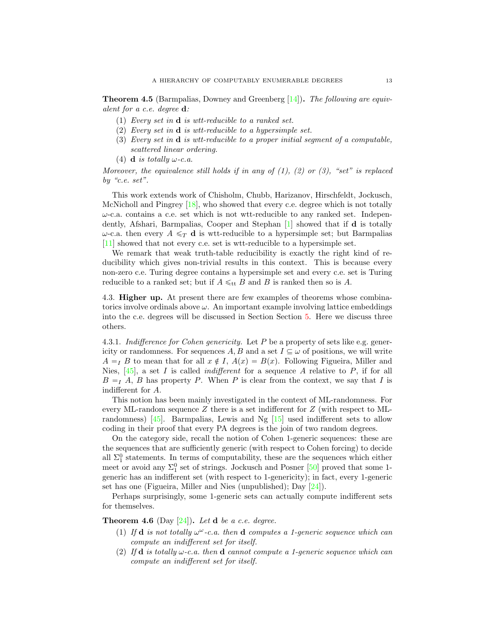**Theorem 4.5** (Barmpalias, Downey and Greenberg  $[14]$ ). The following are equivalent for a c.e. degree d:

- (1) Every set in d is wtt-reducible to a ranked set.
- (2) Every set in d is wtt-reducible to a hypersimple set.
- (3) Every set in d is wtt-reducible to a proper initial segment of a computable, scattered linear ordering.
- (4) **d** is totally  $\omega$ -c.a.

Moreover, the equivalence still holds if in any of  $(1)$ ,  $(2)$  or  $(3)$ , "set" is replaced by "c.e.  $set"$ .

This work extends work of Chisholm, Chubb, Harizanov, Hirschfeldt, Jockusch, McNicholl and Pingrey  $[18]$ , who showed that every c.e. degree which is not totally  $\omega$ -c.a. contains a c.e. set which is not wtt-reducible to any ranked set. Independently, Afshari, Barmpalias, Cooper and Stephan [\[1\]](#page-30-2) showed that if d is totally  $ω$ -c.a. then every  $A \leq_T \mathbf{d}$  is wtt-reducible to a hypersimple set; but Barmpalias [\[11\]](#page-31-17) showed that not every c.e. set is wtt-reducible to a hypersimple set.

We remark that weak truth-table reducibility is exactly the right kind of reducibility which gives non-trivial results in this context. This is because every non-zero c.e. Turing degree contains a hypersimple set and every c.e. set is Turing reducible to a ranked set; but if  $A \leq_{\text{tt}} B$  and B is ranked then so is A.

4.3. Higher up. At present there are few examples of theorems whose combinatorics involve ordinals above  $\omega$ . An important example involving lattice embeddings into the c.e. degrees will be discussed in Section Section [5.](#page-14-0) Here we discuss three others.

4.3.1. Indifference for Cohen genericity. Let  $P$  be a property of sets like e.g. genericity or randomness. For sequences  $A, B$  and a set  $I \subseteq \omega$  of positions, we will write  $A = I$  B to mean that for all  $x \notin I$ ,  $A(x) = B(x)$ . Following Figueira, Miller and Nies,  $[45]$ , a set I is called *indifferent* for a sequence A relative to P, if for all  $B = I$  A, B has property P. When P is clear from the context, we say that I is indifferent for A.

This notion has been mainly investigated in the context of ML-randomness. For every ML-random sequence  $Z$  there is a set indifferent for  $Z$  (with respect to MLrandomness) [\[45\]](#page-32-14). Barmpalias, Lewis and Ng [\[15\]](#page-31-18) used indifferent sets to allow coding in their proof that every PA degrees is the join of two random degrees.

On the category side, recall the notion of Cohen 1-generic sequences: these are the sequences that are sufficiently generic (with respect to Cohen forcing) to decide all  $\Sigma_1^0$  statements. In terms of computability, these are the sequences which either meet or avoid any  $\Sigma_1^0$  set of strings. Jockusch and Posner [\[50\]](#page-32-15) proved that some 1generic has an indifferent set (with respect to 1-genericity); in fact, every 1-generic set has one (Figueira, Miller and Nies (unpublished); Day [\[24\]](#page-31-19)).

Perhaps surprisingly, some 1-generic sets can actually compute indifferent sets for themselves.

**Theorem 4.6** (Day  $[24]$ ). Let **d** be a c.e. degree.

- (1) If **d** is not totally  $\omega^{\omega}$ -c.a. then **d** computes a 1-generic sequence which can compute an indifferent set for itself.
- (2) If **d** is totally  $\omega$ -c.a. then **d** cannot compute a 1-generic sequence which can compute an indifferent set for itself.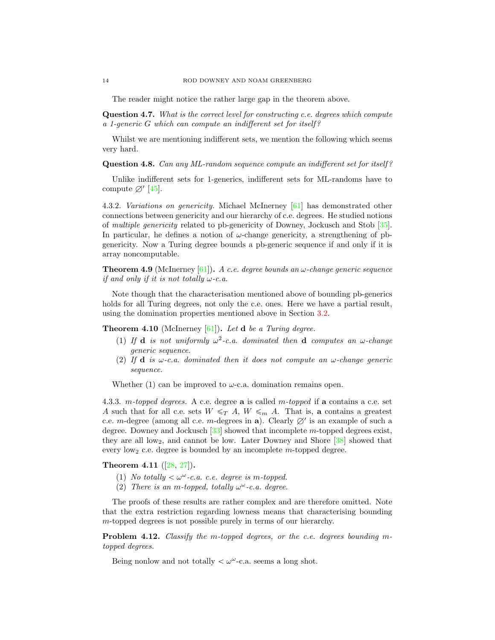The reader might notice the rather large gap in the theorem above.

Question 4.7. What is the correct level for constructing c.e. degrees which compute a 1-generic G which can compute an indifferent set for itself ?

Whilst we are mentioning indifferent sets, we mention the following which seems very hard.

Question 4.8. Can any ML-random sequence compute an indifferent set for itself?

Unlike indifferent sets for 1-generics, indifferent sets for ML-randoms have to compute  $\varnothing'$  [\[45\]](#page-32-14).

4.3.2. Variations on genericity. Michael McInerney [\[61\]](#page-33-10) has demonstrated other connections between genericity and our hierarchy of c.e. degrees. He studied notions of multiple genericity related to pb-genericity of Downey, Jockusch and Stob [\[35\]](#page-32-3). In particular, he defines a notion of  $\omega$ -change genericity, a strengthening of pbgenericity. Now a Turing degree bounds a pb-generic sequence if and only if it is array noncomputable.

**Theorem 4.9** (McInerney [\[61\]](#page-33-10)). A c.e. degree bounds an  $\omega$ -change generic sequence if and only if it is not totally  $\omega$ -c.a.

Note though that the characterisation mentioned above of bounding pb-generics holds for all Turing degrees, not only the c.e. ones. Here we have a partial result, using the domination properties mentioned above in Section [3.2.](#page-6-1)

**Theorem 4.10** (McInerney  $[61]$ ). Let **d** be a Turing degree.

- (1) If **d** is not uniformly  $\omega^2$ -c.a. dominated then **d** computes an  $\omega$ -change generic sequence.
- (2) If **d** is  $\omega$ -c.a. dominated then it does not compute an  $\omega$ -change generic sequence.

Whether (1) can be improved to  $\omega$ -c.a. domination remains open.

4.3.3. m-topped degrees. A c.e. degree  $a$  is called m-topped if  $a$  contains a c.e. set A such that for all c.e. sets  $W \leq T A$ ,  $W \leq m A$ . That is, a contains a greatest c.e. m-degree (among all c.e. m-degrees in a). Clearly  $\varnothing'$  is an example of such a degree. Downey and Jockusch [\[33\]](#page-31-20) showed that incomplete m-topped degrees exist, they are all  $low_2$ , and cannot be low. Later Downey and Shore  $[38]$  showed that every  $low_2$  c.e. degree is bounded by an incomplete m-topped degree.

Theorem 4.11 ([\[28,](#page-31-3) [27\]](#page-31-1)).

- (1) No totally  $< \omega^{\omega}$ -c.a. c.e. degree is m-topped.
- (2) There is an m-topped, totally  $\omega^{\omega}$ -c.a. degree.

The proofs of these results are rather complex and are therefore omitted. Note that the extra restriction regarding lowness means that characterising bounding m-topped degrees is not possible purely in terms of our hierarchy.

Problem 4.12. Classify the m-topped degrees, or the c.e. degrees bounding mtopped degrees.

Being nonlow and not totally  $\langle \omega^{\omega}$ -c.a. seems a long shot.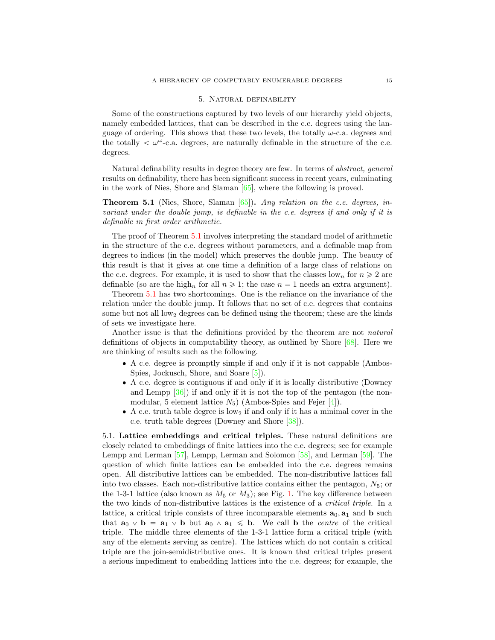#### 5. Natural definability

<span id="page-14-0"></span>Some of the constructions captured by two levels of our hierarchy yield objects, namely embedded lattices, that can be described in the c.e. degrees using the language of ordering. This shows that these two levels, the totally  $\omega$ -c.a. degrees and the totally  $\langle \omega^{\omega}$ -c.a. degrees, are naturally definable in the structure of the c.e. degrees.

Natural definability results in degree theory are few. In terms of *abstract*, *general* results on definability, there has been significant success in recent years, culminating in the work of Nies, Shore and Slaman [\[65\]](#page-33-1), where the following is proved.

<span id="page-14-1"></span>**Theorem 5.1** (Nies, Shore, Slaman  $[65]$ ). Any relation on the c.e. degrees, invariant under the double jump, is definable in the c.e. degrees if and only if it is definable in first order arithmetic.

The proof of Theorem [5.1](#page-14-1) involves interpreting the standard model of arithmetic in the structure of the c.e. degrees without parameters, and a definable map from degrees to indices (in the model) which preserves the double jump. The beauty of this result is that it gives at one time a definition of a large class of relations on the c.e. degrees. For example, it is used to show that the classes low<sub>n</sub> for  $n \geqslant 2$  are definable (so are the high<sub>n</sub> for all  $n \geq 1$ ; the case  $n = 1$  needs an extra argument).

Theorem [5.1](#page-14-1) has two shortcomings. One is the reliance on the invariance of the relation under the double jump. It follows that no set of c.e. degrees that contains some but not all  $low_2$  degrees can be defined using the theorem; these are the kinds of sets we investigate here.

Another issue is that the definitions provided by the theorem are not natural definitions of objects in computability theory, as outlined by Shore [\[68\]](#page-33-2). Here we are thinking of results such as the following.

- ' A c.e. degree is promptly simple if and only if it is not cappable (Ambos-Spies, Jockusch, Shore, and Soare [\[5\]](#page-30-0)).
- ' A c.e. degree is contiguous if and only if it is locally distributive (Downey and Lempp [\[36\]](#page-32-11)) if and only if it is not the top of the pentagon (the nonmodular, 5 element lattice  $N_5$ ) (Ambos-Spies and Fejer [\[4\]](#page-30-3)).
- $\bullet$  A c.e. truth table degree is low<sub>2</sub> if and only if it has a minimal cover in the c.e. truth table degrees (Downey and Shore [\[38\]](#page-32-16)).

5.1. Lattice embeddings and critical triples. These natural definitions are closely related to embeddings of finite lattices into the c.e. degrees; see for example Lempp and Lerman [\[57\]](#page-32-17), Lempp, Lerman and Solomon [\[58\]](#page-32-18), and Lerman [\[59\]](#page-32-19). The question of which finite lattices can be embedded into the c.e. degrees remains open. All distributive lattices can be embedded. The non-distributive lattices fall into two classes. Each non-distributive lattice contains either the pentagon,  $N_5$ ; or the 1-3-1 lattice (also known as  $M_5$  or  $M_3$ ); see Fig. [1.](#page-15-0) The key difference between the two kinds of non-distributive lattices is the existence of a critical triple. In a lattice, a critical triple consists of three incomparable elements  $\mathbf{a}_0, \mathbf{a}_1$  and  $\mathbf{b}$  such that  $\mathbf{a}_0 \vee \mathbf{b} = \mathbf{a}_1 \vee \mathbf{b}$  but  $\mathbf{a}_0 \wedge \mathbf{a}_1 \leq \mathbf{b}$ . We call b the *centre* of the critical triple. The middle three elements of the 1-3-1 lattice form a critical triple (with any of the elements serving as centre). The lattices which do not contain a critical triple are the join-semidistributive ones. It is known that critical triples present a serious impediment to embedding lattices into the c.e. degrees; for example, the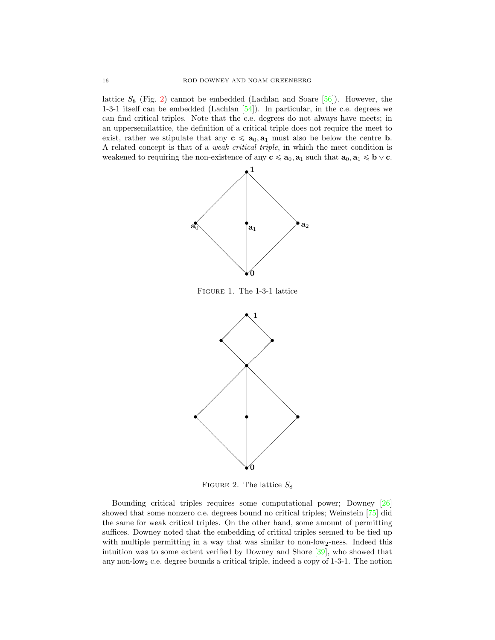lattice  $S_8$  (Fig. [2\)](#page-15-1) cannot be embedded (Lachlan and Soare [\[56\]](#page-32-20)). However, the 1-3-1 itself can be embedded (Lachlan [\[54\]](#page-32-21)). In particular, in the c.e. degrees we can find critical triples. Note that the c.e. degrees do not always have meets; in an uppersemilattice, the definition of a critical triple does not require the meet to exist, rather we stipulate that any  $c \leq a_0, a_1$  must also be below the centre b. A related concept is that of a weak critical triple, in which the meet condition is weakened to requiring the non-existence of any  $c \le a_0, a_1$  such that  $a_0, a_1 \le b \vee c$ .



<span id="page-15-0"></span>Figure 1. The 1-3-1 lattice



<span id="page-15-1"></span>FIGURE 2. The lattice  $S_8$ 

Bounding critical triples requires some computational power; Downey [\[26\]](#page-31-21) showed that some nonzero c.e. degrees bound no critical triples; Weinstein [\[75\]](#page-33-11) did the same for weak critical triples. On the other hand, some amount of permitting suffices. Downey noted that the embedding of critical triples seemed to be tied up with multiple permitting in a way that was similar to non-low<sub>2</sub>-ness. Indeed this intuition was to some extent verified by Downey and Shore [\[39\]](#page-32-22), who showed that any non-low<sub>2</sub> c.e. degree bounds a critical triple, indeed a copy of  $1-3-1$ . The notion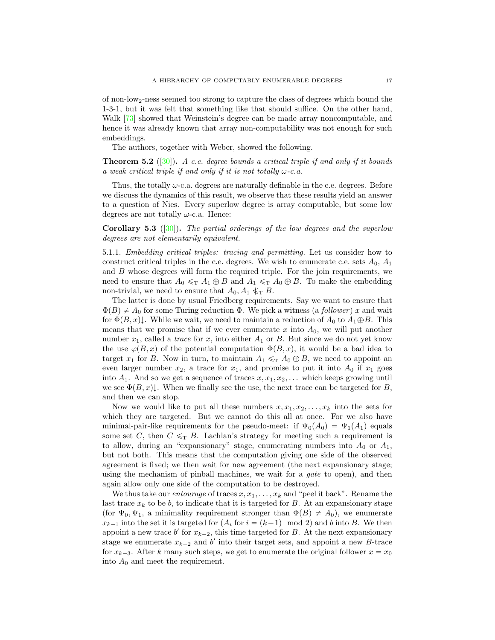of non-low2-ness seemed too strong to capture the class of degrees which bound the 1-3-1, but it was felt that something like that should suffice. On the other hand, Walk [\[73\]](#page-33-12) showed that Weinstein's degree can be made array noncomputable, and hence it was already known that array non-computability was not enough for such embeddings.

The authors, together with Weber, showed the following.

<span id="page-16-0"></span>**Theorem 5.2** ([\[30\]](#page-31-2)). A c.e. degree bounds a critical triple if and only if it bounds a weak critical triple if and only if it is not totally  $\omega$ -c.a.

Thus, the totally  $\omega$ -c.a. degrees are naturally definable in the c.e. degrees. Before we discuss the dynamics of this result, we observe that these results yield an answer to a question of Nies. Every superlow degree is array computable, but some low degrees are not totally  $\omega$ -c.a. Hence:

Corollary 5.3 ([\[30\]](#page-31-2)). The partial orderings of the low degrees and the superlow degrees are not elementarily equivalent.

5.1.1. Embedding critical triples: tracing and permitting. Let us consider how to construct critical triples in the c.e. degrees. We wish to enumerate c.e. sets  $A_0$ ,  $A_1$ and  $B$  whose degrees will form the required triple. For the join requirements, we need to ensure that  $A_0 \leq_T A_1 \oplus B$  and  $A_1 \leq_T A_0 \oplus B$ . To make the embedding non-trivial, we need to ensure that  $A_0, A_1 \leq_T B$ .

The latter is done by usual Friedberg requirements. Say we want to ensure that  $\Phi(B) \neq A_0$  for some Turing reduction  $\Phi$ . We pick a witness (a *follower*) x and wait for  $\Phi(B, x)\downarrow$ . While we wait, we need to maintain a reduction of  $A_0$  to  $A_1\oplus B$ . This means that we promise that if we ever enumerate x into  $A_0$ , we will put another number  $x_1$ , called a *trace* for  $x$ , into either  $A_1$  or  $B$ . But since we do not yet know the use  $\varphi(B, x)$  of the potential computation  $\Phi(B, x)$ , it would be a bad idea to target  $x_1$  for B. Now in turn, to maintain  $A_1 \leq T A_0 \oplus B$ , we need to appoint an even larger number  $x_2$ , a trace for  $x_1$ , and promise to put it into  $A_0$  if  $x_1$  goes into  $A_1$ . And so we get a sequence of traces  $x, x_1, x_2, \ldots$  which keeps growing until we see  $\Phi(B, x)\downarrow$ . When we finally see the use, the next trace can be targeted for B, and then we can stop.

Now we would like to put all these numbers  $x, x_1, x_2, \ldots, x_k$  into the sets for which they are targeted. But we cannot do this all at once. For we also have minimal-pair-like requirements for the pseudo-meet: if  $\Psi_0(A_0) = \Psi_1(A_1)$  equals some set C, then  $C \leq_T B$ . Lachlan's strategy for meeting such a requirement is to allow, during an "expansionary" stage, enumerating numbers into  $A_0$  or  $A_1$ , but not both. This means that the computation giving one side of the observed agreement is fixed; we then wait for new agreement (the next expansionary stage; using the mechanism of pinball machines, we wait for a *gate* to open), and then again allow only one side of the computation to be destroyed.

We thus take our *entourage* of traces  $x, x_1, \ldots, x_k$  and "peel it back". Rename the last trace  $x_k$  to be b, to indicate that it is targeted for B. At an expansionary stage (for  $\Psi_0, \Psi_1$ , a minimality requirement stronger than  $\Phi(B) \neq A_0$ ), we enumerate  $x_{k-1}$  into the set it is targeted for  $(A_i$  for  $i = (k-1) \mod 2$  and b into B. We then appoint a new trace  $b'$  for  $x_{k-2}$ , this time targeted for B. At the next expansionary stage we enumerate  $x_{k-2}$  and b' into their target sets, and appoint a new B-trace for  $x_{k-3}$ . After k many such steps, we get to enumerate the original follower  $x = x_0$ into  $A_0$  and meet the requirement.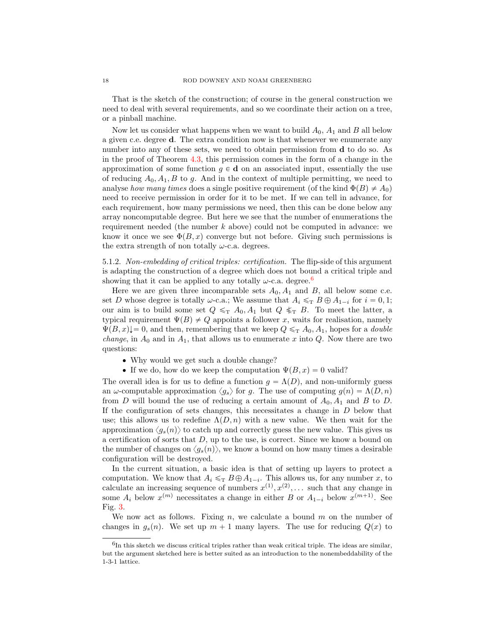That is the sketch of the construction; of course in the general construction we need to deal with several requirements, and so we coordinate their action on a tree, or a pinball machine.

Now let us consider what happens when we want to build  $A_0$ ,  $A_1$  and B all below a given c.e. degree d. The extra condition now is that whenever we enumerate any number into any of these sets, we need to obtain permission from **d** to do so. As in the proof of Theorem [4.3,](#page-10-0) this permission comes in the form of a change in the approximation of some function  $g \in \mathbf{d}$  on an associated input, essentially the use of reducing  $A_0, A_1, B$  to q. And in the context of multiple permitting, we need to analyse how many times does a single positive requirement (of the kind  $\Phi(B) \neq A_0$ ) need to receive permission in order for it to be met. If we can tell in advance, for each requirement, how many permissions we need, then this can be done below any array noncomputable degree. But here we see that the number of enumerations the requirement needed (the number  $k$  above) could not be computed in advance: we know it once we see  $\Phi(B, x)$  converge but not before. Giving such permissions is the extra strength of non totally  $\omega$ -c.a. degrees.

5.1.2. Non-embedding of critical triples: certification. The flip-side of this argument is adapting the construction of a degree which does not bound a critical triple and showing that it can be applied to any totally  $\omega$ -c.a. degree.<sup>[6](#page-17-0)</sup>

Here we are given three incomparable sets  $A_0$ ,  $A_1$  and  $B$ , all below some c.e. set D whose degree is totally  $\omega$ -c.a.; We assume that  $A_i \leq T B \oplus A_{1-i}$  for  $i = 0, 1$ ; our aim is to build some set  $Q \leq_T A_0, A_1$  but  $Q \leq_T B$ . To meet the latter, a typical requirement  $\Psi(B) \neq Q$  appoints a follower x, waits for realisation, namely  $\Psi(B, x)$  = 0, and then, remembering that we keep  $Q \leq T A_0, A_1$ , hopes for a *double change*, in  $A_0$  and in  $A_1$ , that allows us to enumerate x into Q. Now there are two questions:

- ' Why would we get such a double change?
- If we do, how do we keep the computation  $\Psi(B, x) = 0$  valid?

The overall idea is for us to define a function  $g = \Lambda(D)$ , and non-uniformly guess an  $\omega$ -computable approximation  $\langle g_s \rangle$  for g. The use of computing  $g(n) = \Lambda(D, n)$ from D will bound the use of reducing a certain amount of  $A_0$ ,  $A_1$  and B to D. If the configuration of sets changes, this necessitates a change in  $D$  below that use; this allows us to redefine  $\Lambda(D, n)$  with a new value. We then wait for the approximation  $\langle g_s(n) \rangle$  to catch up and correctly guess the new value. This gives us a certification of sorts that  $D$ , up to the use, is correct. Since we know a bound on the number of changes on  $\langle g_s(n) \rangle$ , we know a bound on how many times a desirable configuration will be destroyed.

In the current situation, a basic idea is that of setting up layers to protect a computation. We know that  $A_i \leq_T B \oplus A_{1-i}$ . This allows us, for any number x, to calculate an increasing sequence of numbers  $x^{(1)}, x^{(2)}, \ldots$  such that any change in some  $A_i$  below  $x^{(m)}$  necessitates a change in either B or  $A_{1-i}$  below  $x^{(m+1)}$ . See Fig. [3.](#page-18-1)

We now act as follows. Fixing  $n$ , we calculate a bound  $m$  on the number of changes in  $g_s(n)$ . We set up  $m + 1$  many layers. The use for reducing  $Q(x)$  to

<span id="page-17-0"></span> ${}^{6}$ In this sketch we discuss critical triples rather than weak critical triple. The ideas are similar, but the argument sketched here is better suited as an introduction to the nonembeddability of the 1-3-1 lattice.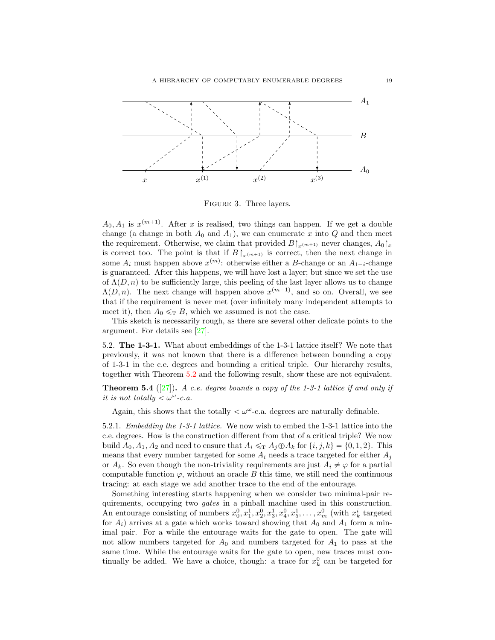

<span id="page-18-1"></span>Figure 3. Three layers.

 $A_0, A_1$  is  $x^{(m+1)}$ . After x is realised, two things can happen. If we get a double change (a change in both  $A_0$  and  $A_1$ ), we can enumerate x into Q and then meet the requirement. Otherwise, we claim that provided  $B\upharpoonright_{x^{(m+1)}}$  never changes,  $A_0\upharpoonright_x$ is correct too. The point is that if  $B\upharpoonright_{x^{(m+1)}}$  is correct, then the next change in some  $A_i$  must happen above  $x^{(m)}$ : otherwise either a B-change or an  $A_{1-i}$ -change is guaranteed. After this happens, we will have lost a layer; but since we set the use of  $\Lambda(D, n)$  to be sufficiently large, this peeling of the last layer allows us to change  $\Lambda(D, n)$ . The next change will happen above  $x^{(m-1)}$ , and so on. Overall, we see that if the requirement is never met (over infinitely many independent attempts to meet it), then  $A_0 \leq_T B$ , which we assumed is not the case.

This sketch is necessarily rough, as there are several other delicate points to the argument. For details see [\[27\]](#page-31-1).

5.2. The 1-3-1. What about embeddings of the 1-3-1 lattice itself? We note that previously, it was not known that there is a difference between bounding a copy of 1-3-1 in the c.e. degrees and bounding a critical triple. Our hierarchy results, together with Theorem [5.2](#page-16-0) and the following result, show these are not equivalent.

<span id="page-18-0"></span>**Theorem 5.4** ([\[27\]](#page-31-1)). A c.e. degree bounds a copy of the 1-3-1 lattice if and only if it is not totally  $<\omega^{\omega}$ -c.a.

Again, this shows that the totally  $\langle \omega^{\omega}$ -c.a. degrees are naturally definable.

5.2.1. Embedding the 1-3-1 lattice. We now wish to embed the 1-3-1 lattice into the c.e. degrees. How is the construction different from that of a critical triple? We now build  $A_0, A_1, A_2$  and need to ensure that  $A_i \leq T A_i \oplus A_k$  for  $\{i, j, k\} = \{0, 1, 2\}$ . This means that every number targeted for some  $A_i$  needs a trace targeted for either  $A_i$ or  $A_k$ . So even though the non-triviality requirements are just  $A_i \neq \varphi$  for a partial computable function  $\varphi$ , without an oracle B this time, we still need the continuous tracing: at each stage we add another trace to the end of the entourage.

Something interesting starts happening when we consider two minimal-pair requirements, occupying two gates in a pinball machine used in this construction. An entourage consisting of numbers  $x_0^0, x_1^1, x_2^0, x_3^1, x_4^0, x_5^1, \ldots, x_m^0$  (with  $x_k^i$  targeted for  $A_i$ ) arrives at a gate which works toward showing that  $A_0$  and  $A_1$  form a minimal pair. For a while the entourage waits for the gate to open. The gate will not allow numbers targeted for  $A_0$  and numbers targeted for  $A_1$  to pass at the same time. While the entourage waits for the gate to open, new traces must continually be added. We have a choice, though: a trace for  $x_k^0$  can be targeted for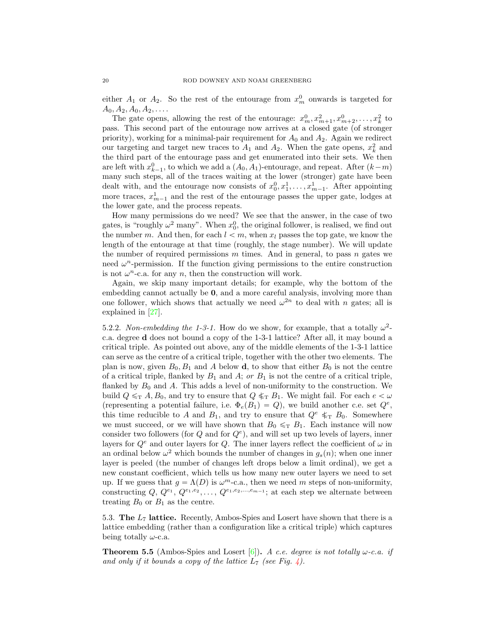either  $A_1$  or  $A_2$ . So the rest of the entourage from  $x_m^0$  onwards is targeted for  $A_0, A_2, A_0, A_2, \ldots$ 

The gate opens, allowing the rest of the entourage:  $x_m^0, x_{m+1}^2, x_{m+2}^0, \ldots, x_k^2$  to pass. This second part of the entourage now arrives at a closed gate (of stronger priority), working for a minimal-pair requirement for  $A_0$  and  $A_2$ . Again we redirect our targeting and target new traces to  $A_1$  and  $A_2$ . When the gate opens,  $x_k^2$  and the third part of the entourage pass and get enumerated into their sets. We then are left with  $x_{k-1}^0$ , to which we add a  $(A_0, A_1)$ -entourage, and repeat. After  $(k-m)$ many such steps, all of the traces waiting at the lower (stronger) gate have been dealt with, and the entourage now consists of  $x_0^0, x_1^1, \ldots, x_{m-1}^1$ . After appointing more traces,  $x_{m-1}^1$  and the rest of the entourage passes the upper gate, lodges at the lower gate, and the process repeats.

How many permissions do we need? We see that the answer, in the case of two gates, is "roughly  $\omega^2$  many". When  $x_0^0$ , the original follower, is realised, we find out the number m. And then, for each  $l < m$ , when  $x_l$  passes the top gate, we know the length of the entourage at that time (roughly, the stage number). We will update the number of required permissions  $m$  times. And in general, to pass  $n$  gates we need  $\omega^n$ -permission. If the function giving permissions to the entire construction is not  $\omega^n$ -c.a. for any n, then the construction will work.

Again, we skip many important details; for example, why the bottom of the embedding cannot actually be **0**, and a more careful analysis, involving more than one follower, which shows that actually we need  $\omega^{2n}$  to deal with n gates; all is explained in [\[27\]](#page-31-1).

5.2.2. Non-embedding the 1-3-1. How do we show, for example, that a totally  $\omega^2$ c.a. degree d does not bound a copy of the 1-3-1 lattice? After all, it may bound a critical triple. As pointed out above, any of the middle elements of the 1-3-1 lattice can serve as the centre of a critical triple, together with the other two elements. The plan is now, given  $B_0, B_1$  and A below **d**, to show that either  $B_0$  is not the centre of a critical triple, flanked by  $B_1$  and  $A$ ; or  $B_1$  is not the centre of a critical triple, flanked by  $B_0$  and A. This adds a level of non-uniformity to the construction. We build  $Q \leq_T A$ ,  $B_0$ , and try to ensure that  $Q \leq_T B_1$ . We might fail. For each  $e < \omega$ (representing a potential failure, i.e.  $\Phi_e(B_1) = Q$ ), we build another c.e. set  $Q^e$ , this time reducible to A and  $B_1$ , and try to ensure that  $Q^e \leq_T B_0$ . Somewhere we must succeed, or we will have shown that  $B_0 \leq_T B_1$ . Each instance will now consider two followers (for  $Q$  and for  $Q<sup>e</sup>$ ), and will set up two levels of layers, inner layers for  $Q^e$  and outer layers for Q. The inner layers reflect the coefficient of  $\omega$  in an ordinal below  $\omega^2$  which bounds the number of changes in  $g_s(n)$ ; when one inner layer is peeled (the number of changes left drops below a limit ordinal), we get a new constant coefficient, which tells us how many new outer layers we need to set up. If we guess that  $g = \Lambda(D)$  is  $\omega^m$ -c.a., then we need m steps of non-uniformity, constructing  $Q, Q^{e_1}, Q^{e_1,e_2}, \ldots, Q^{e_1,e_2,\ldots,e_{m-1}}$ ; at each step we alternate between treating  $B_0$  or  $B_1$  as the centre.

5.3. The  $L_7$  lattice. Recently, Ambos-Spies and Losert have shown that there is a lattice embedding (rather than a configuration like a critical triple) which captures being totally  $\omega$ -c.a.

**Theorem 5.5** (Ambos-Spies and Losert [\[6\]](#page-30-4)). A c.e. degree is not totally  $\omega$ -c.a. if and only if it bounds a copy of the lattice  $L_7$  (see Fig. [4\)](#page-20-0).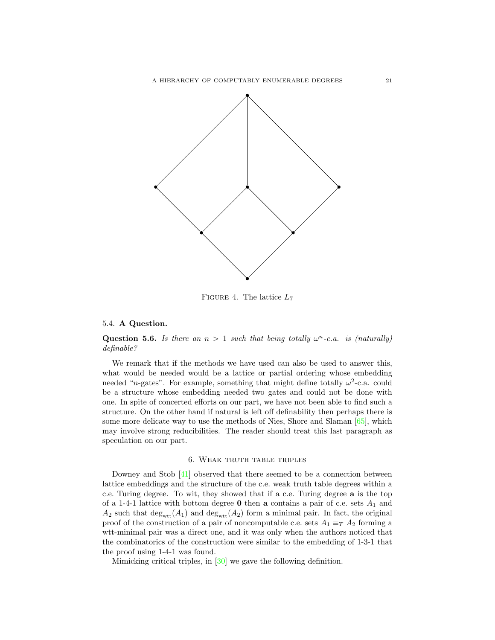

<span id="page-20-0"></span>FIGURE 4. The lattice  $L_7$ 

# 5.4. A Question.

Question 5.6. Is there an  $n > 1$  such that being totally  $\omega^n$ -c.a. is (naturally) definable?

We remark that if the methods we have used can also be used to answer this, what would be needed would be a lattice or partial ordering whose embedding needed "*n*-gates". For example, something that might define totally  $\omega^2$ -c.a. could be a structure whose embedding needed two gates and could not be done with one. In spite of concerted efforts on our part, we have not been able to find such a structure. On the other hand if natural is left off definability then perhaps there is some more delicate way to use the methods of Nies, Shore and Slaman [\[65\]](#page-33-1), which may involve strong reducibilities. The reader should treat this last paragraph as speculation on our part.

# 6. Weak truth table triples

Downey and Stob [\[41\]](#page-32-23) observed that there seemed to be a connection between lattice embeddings and the structure of the c.e. weak truth table degrees within a c.e. Turing degree. To wit, they showed that if a c.e. Turing degree a is the top of a 1-4-1 lattice with bottom degree  $\bf{0}$  then  $\bf{a}$  contains a pair of c.e. sets  $A_1$  and  $A_2$  such that  $\deg_{\text{wtt}}(A_1)$  and  $\deg_{\text{wtt}}(A_2)$  form a minimal pair. In fact, the original proof of the construction of a pair of noncomputable c.e. sets  $A_1 \equiv_T A_2$  forming a wtt-minimal pair was a direct one, and it was only when the authors noticed that the combinatorics of the construction were similar to the embedding of 1-3-1 that the proof using 1-4-1 was found.

Mimicking critical triples, in [\[30\]](#page-31-2) we gave the following definition.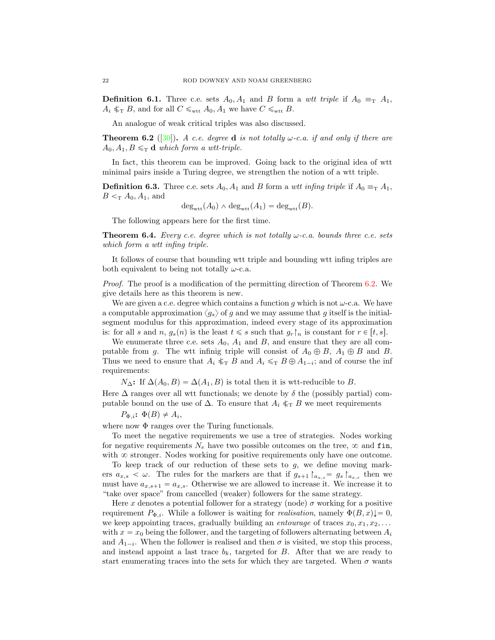**Definition 6.1.** Three c.e. sets  $A_0$ ,  $A_1$  and B form a wtt triple if  $A_0 \equiv_{\text{T}} A_1$ ,  $A_i \nless_{\text{T}} B$ , and for all  $C \leq_{\text{wtt}} A_0, A_1$  we have  $C \leq_{\text{wtt}} B$ .

An analogue of weak critical triples was also discussed.

<span id="page-21-0"></span>**Theorem 6.2** ([\[30\]](#page-31-2)). A c.e. degree **d** is not totally  $\omega$ -c.a. if and only if there are  $A_0, A_1, B \leq_T \mathbf{d}$  which form a wtt-triple.

In fact, this theorem can be improved. Going back to the original idea of wtt minimal pairs inside a Turing degree, we strengthen the notion of a wtt triple.

**Definition 6.3.** Three c.e. sets  $A_0$ ,  $A_1$  and B form a *wtt infing triple* if  $A_0 \equiv_{\text{T}} A_1$ ,  $B <_{\mathrm{T}} A_0, A_1$ , and

$$
\deg_{\text{wtt}}(A_0) \wedge \deg_{\text{wtt}}(A_1) = \deg_{\text{wtt}}(B).
$$

The following appears here for the first time.

<span id="page-21-1"></span>**Theorem 6.4.** Every c.e. degree which is not totally  $\omega$ -c.a. bounds three c.e. sets which form a wtt infing triple.

It follows of course that bounding wtt triple and bounding wtt infing triples are both equivalent to being not totally  $\omega$ -c.a.

Proof. The proof is a modification of the permitting direction of Theorem [6.2.](#page-21-0) We give details here as this theorem is new.

We are given a c.e. degree which contains a function g which is not  $\omega$ -c.a. We have a computable approximation  $\langle q_s \rangle$  of g and we may assume that g itself is the initialsegment modulus for this approximation, indeed every stage of its approximation is: for all s and n,  $g_s(n)$  is the least  $t \leq s$  such that  $g_r\upharpoonright_n$  is constant for  $r \in [t, s]$ .

We enumerate three c.e. sets  $A_0$ ,  $A_1$  and  $B$ , and ensure that they are all computable from g. The wtt infinig triple will consist of  $A_0 \oplus B$ ,  $A_1 \oplus B$  and B. Thus we need to ensure that  $A_i \nleq_T B$  and  $A_i \nleq_T B \oplus A_{1-i}$ ; and of course the inf requirements:

 $N_{\Delta}$ : If  $\Delta(A_0, B) = \Delta(A_1, B)$  is total then it is wtt-reducible to B. Here  $\Delta$  ranges over all wtt functionals; we denote by  $\delta$  the (possibly partial) computable bound on the use of  $\Delta$ . To ensure that  $A_i \nleq_T B$  we meet requirements

 $P_{\Phi,i}$ :  $\Phi(B) \neq A_i$ ,

where now  $\Phi$  ranges over the Turing functionals.

To meet the negative requirements we use a tree of strategies. Nodes working for negative requirements  $N_e$  have two possible outcomes on the tree,  $\infty$  and fin, with  $\infty$  stronger. Nodes working for positive requirements only have one outcome.

To keep track of our reduction of these sets to g, we define moving markers  $a_{x,s} < \omega$ . The rules for the markers are that if  $g_{s+1} \upharpoonright_{a_{x,s}} = g_s \upharpoonright_{a_{x,s}}$  then we must have  $a_{x,s+1} = a_{x,s}$ . Otherwise we are allowed to increase it. We increase it to "take over space" from cancelled (weaker) followers for the same strategy.

Here x denotes a potential follower for a strategy (node)  $\sigma$  working for a positive requirement  $P_{\Phi,i}$ . While a follower is waiting for *realisation*, namely  $\Phi(B, x)$ ,  $= 0$ , we keep appointing traces, gradually building an *entourage* of traces  $x_0, x_1, x_2, \ldots$ with  $x = x_0$  being the follower, and the targeting of followers alternating between  $A_i$ and  $A_{1-i}$ . When the follower is realised and then  $\sigma$  is visited, we stop this process, and instead appoint a last trace  $b_k$ , targeted for B. After that we are ready to start enumerating traces into the sets for which they are targeted. When  $\sigma$  wants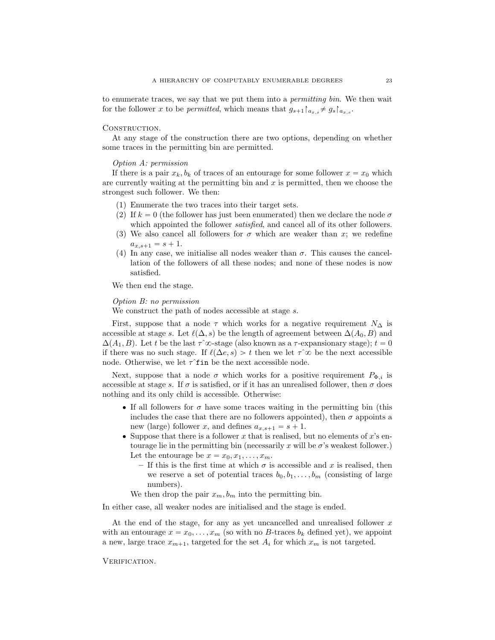to enumerate traces, we say that we put them into a permitting bin. We then wait for the follower x to be *permitted*, which means that  $g_{s+1}|_{a_{x,s}} \neq g_s|_{a_{x,s}}$ .

## CONSTRUCTION.

At any stage of the construction there are two options, depending on whether some traces in the permitting bin are permitted.

### Option A: permission

If there is a pair  $x_k, b_k$  of traces of an entourage for some follower  $x = x_0$  which are currently waiting at the permitting bin and  $x$  is permitted, then we choose the strongest such follower. We then:

- (1) Enumerate the two traces into their target sets.
- (2) If  $k = 0$  (the follower has just been enumerated) then we declare the node  $\sigma$ which appointed the follower *satisfied*, and cancel all of its other followers.
- (3) We also cancel all followers for  $\sigma$  which are weaker than x; we redefine  $a_{x,s+1} = s + 1.$
- (4) In any case, we initialise all nodes weaker than  $\sigma$ . This causes the cancellation of the followers of all these nodes; and none of these nodes is now satisfied.

We then end the stage.

## Option B: no permission

We construct the path of nodes accessible at stage s.

First, suppose that a node  $\tau$  which works for a negative requirement  $N_{\Delta}$  is accessible at stage s. Let  $\ell(\Delta, s)$  be the length of agreement between  $\Delta(A_0, B)$  and  $\Delta(A_1, B)$ . Let t be the last  $\tau^{\hat{\infty}}$ -stage (also known as a  $\tau$ -expansionary stage);  $t = 0$ if there was no such stage. If  $\ell(\Delta e, s) > t$  then we let  $\tau^{\sim} \infty$  be the next accessible node. Otherwise, we let  $\tau$ <sup> $\tau$ </sup> fin be the next accessible node.

Next, suppose that a node  $\sigma$  which works for a positive requirement  $P_{\Phi,i}$  is accessible at stage s. If  $\sigma$  is satisfied, or if it has an unrealised follower, then  $\sigma$  does nothing and its only child is accessible. Otherwise:

- If all followers for  $\sigma$  have some traces waiting in the permitting bin (this includes the case that there are no followers appointed), then  $\sigma$  appoints a new (large) follower x, and defines  $a_{x, s+1} = s + 1$ .
- Suppose that there is a follower x that is realised, but no elements of  $x$ 's entourage lie in the permitting bin (necessarily x will be  $\sigma$ 's weakest follower.) Let the entourage be  $x = x_0, x_1, \ldots, x_m$ .
	- If this is the first time at which  $\sigma$  is accessible and x is realised, then we reserve a set of potential traces  $b_0, b_1, \ldots, b_m$  (consisting of large numbers).
	- We then drop the pair  $x_m, b_m$  into the permitting bin.

In either case, all weaker nodes are initialised and the stage is ended.

At the end of the stage, for any as yet uncancelled and unrealised follower x with an entourage  $x = x_0, \ldots, x_m$  (so with no B-traces  $b_k$  defined yet), we appoint a new, large trace  $x_{m+1}$ , targeted for the set  $A_i$  for which  $x_m$  is not targeted.

## VERIFICATION.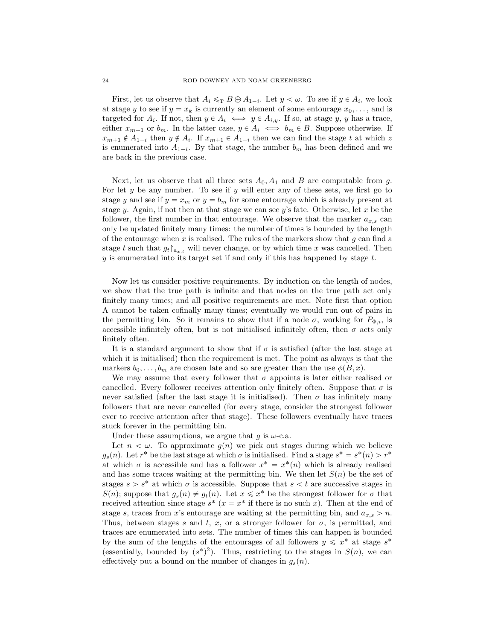First, let us observe that  $A_i \leq_T B \oplus A_{1-i}$ . Let  $y < \omega$ . To see if  $y \in A_i$ , we look at stage y to see if  $y = x_k$  is currently an element of some entourage  $x_0, \ldots$ , and is targeted for  $A_i$ . If not, then  $y \in A_i \iff y \in A_{i,y}$ . If so, at stage y, y has a trace, either  $x_{m+1}$  or  $b_m$ . In the latter case,  $y \in A_i \iff b_m \in B$ . Suppose otherwise. If  $x_{m+1} \notin A_{1-i}$  then  $y \notin A_i$ . If  $x_{m+1} \in A_{1-i}$  then we can find the stage t at which z is enumerated into  $A_{1-i}$ . By that stage, the number  $b_m$  has been defined and we are back in the previous case.

Next, let us observe that all three sets  $A_0$ ,  $A_1$  and B are computable from g. For let  $y$  be any number. To see if  $y$  will enter any of these sets, we first go to stage y and see if  $y = x_m$  or  $y = b_m$  for some entourage which is already present at stage y. Again, if not then at that stage we can see y's fate. Otherwise, let x be the follower, the first number in that entourage. We observe that the marker  $a_{x,s}$  can only be updated finitely many times: the number of times is bounded by the length of the entourage when  $x$  is realised. The rules of the markers show that  $g$  can find a stage t such that  $g_t|_{a_{x,t}}$  will never change, or by which time x was cancelled. Then  $y$  is enumerated into its target set if and only if this has happened by stage  $t$ .

Now let us consider positive requirements. By induction on the length of nodes, we show that the true path is infinite and that nodes on the true path act only finitely many times; and all positive requirements are met. Note first that option A cannot be taken cofinally many times; eventually we would run out of pairs in the permitting bin. So it remains to show that if a node  $\sigma$ , working for  $P_{\Phi,i}$ , is accessible infinitely often, but is not initialised infinitely often, then  $\sigma$  acts only finitely often.

It is a standard argument to show that if  $\sigma$  is satisfied (after the last stage at which it is initialised) then the requirement is met. The point as always is that the markers  $b_0, \ldots, b_m$  are chosen late and so are greater than the use  $\phi(B, x)$ .

We may assume that every follower that  $\sigma$  appoints is later either realised or cancelled. Every follower receives attention only finitely often. Suppose that  $\sigma$  is never satisfied (after the last stage it is initialised). Then  $\sigma$  has infinitely many followers that are never cancelled (for every stage, consider the strongest follower ever to receive attention after that stage). These followers eventually have traces stuck forever in the permitting bin.

Under these assumptions, we argue that  $g$  is  $\omega$ -c.a.

Let  $n < \omega$ . To approximate  $q(n)$  we pick out stages during which we believe  $g_s(n)$ . Let  $r^*$  be the last stage at which  $\sigma$  is initialised. Find a stage  $s^* = s^*(n) > r^*$ at which  $\sigma$  is accessible and has a follower  $x^* = x^*(n)$  which is already realised and has some traces waiting at the permitting bin. We then let  $S(n)$  be the set of stages  $s > s^*$  at which  $\sigma$  is accessible. Suppose that  $s < t$  are successive stages in  $S(n)$ ; suppose that  $g_s(n) \neq g_t(n)$ . Let  $x \leq x^*$  be the strongest follower for  $\sigma$  that received attention since stage  $s^*$   $(x = x^*$  if there is no such x). Then at the end of stage s, traces from x's entourage are waiting at the permitting bin, and  $a_{x,s} > n$ . Thus, between stages s and t, x, or a stronger follower for  $\sigma$ , is permitted, and traces are enumerated into sets. The number of times this can happen is bounded by the sum of the lengths of the entourages of all followers  $y \leq x^*$  at stage  $s^*$ (essentially, bounded by  $(s^*)^2$ ). Thus, restricting to the stages in  $S(n)$ , we can effectively put a bound on the number of changes in  $q_s(n)$ .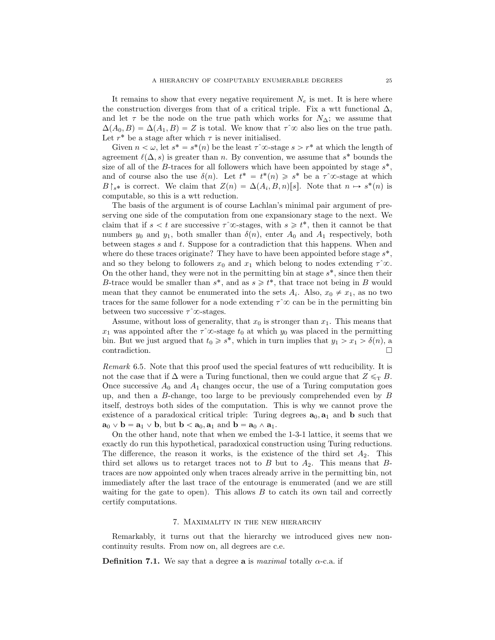It remains to show that every negative requirement  $N_e$  is met. It is here where the construction diverges from that of a critical triple. Fix a wtt functional  $\Delta$ , and let  $\tau$  be the node on the true path which works for  $N_{\Delta}$ ; we assume that  $\Delta(A_0, B) = \Delta(A_1, B) = Z$  is total. We know that  $\tau$ <sup>2</sup>  $\infty$  also lies on the true path. Let  $r^*$  be a stage after which  $\tau$  is never initialised.

Given  $n < \omega$ , let  $s^* = s^*(n)$  be the least  $\tau$   $\infty$ -stage  $s > r^*$  at which the length of agreement  $\ell(\Delta, s)$  is greater than n. By convention, we assume that s<sup>\*</sup> bounds the size of all of the B-traces for all followers which have been appointed by stage  $s^*$ , and of course also the use  $\delta(n)$ . Let  $t^* = t^*(n) \geq s^*$  be a  $\tau$   $\infty$ -stage at which  $B\upharpoonright_{s^*}$  is correct. We claim that  $Z(n) = \Delta(A_i, B, n)[s]$ . Note that  $n \mapsto s^*(n)$  is computable, so this is a wtt reduction.

The basis of the argument is of course Lachlan's minimal pair argument of preserving one side of the computation from one expansionary stage to the next. We claim that if  $s < t$  are successive  $\tau$ <sup> $\infty$ </sup>-stages, with  $s \geq t^*$ , then it cannot be that numbers  $y_0$  and  $y_1$ , both smaller than  $\delta(n)$ , enter  $A_0$  and  $A_1$  respectively, both between stages  $s$  and  $t$ . Suppose for a contradiction that this happens. When and where do these traces originate? They have to have been appointed before stage  $s^*$ , and so they belong to followers  $x_0$  and  $x_1$  which belong to nodes extending  $\tau^{\hat{\infty}}$ . On the other hand, they were not in the permitting bin at stage  $s^*$ , since then their B-trace would be smaller than  $s^*$ , and as  $s \geq t^*$ , that trace not being in B would mean that they cannot be enumerated into the sets  $A_i$ . Also,  $x_0 \neq x_1$ , as no two traces for the same follower for a node extending  $\tau^{\hat{\infty}}$  can be in the permitting bin between two successive  $\tau$ <sup> $\infty$ </sup>-stages.

Assume, without loss of generality, that  $x_0$  is stronger than  $x_1$ . This means that  $x_1$  was appointed after the  $\tau^{\infty}$ -stage  $t_0$  at which  $y_0$  was placed in the permitting bin. But we just argued that  $t_0 \geq s^*$ , which in turn implies that  $y_1 > x_1 > \delta(n)$ , a contradiction.

Remark 6.5. Note that this proof used the special features of wtt reducibility. It is not the case that if  $\Delta$  were a Turing functional, then we could argue that  $Z \leq_T B$ . Once successive  $A_0$  and  $A_1$  changes occur, the use of a Turing computation goes up, and then a B-change, too large to be previously comprehended even by B itself, destroys both sides of the computation. This is why we cannot prove the existence of a paradoxical critical triple: Turing degrees  $\mathbf{a}_0, \mathbf{a}_1$  and  $\mathbf{b}$  such that  $\mathbf{a}_0 \vee \mathbf{b} = \mathbf{a}_1 \vee \mathbf{b}$ , but  $\mathbf{b} < \mathbf{a}_0, \mathbf{a}_1$  and  $\mathbf{b} = \mathbf{a}_0 \wedge \mathbf{a}_1$ .

On the other hand, note that when we embed the 1-3-1 lattice, it seems that we exactly do run this hypothetical, paradoxical construction using Turing reductions. The difference, the reason it works, is the existence of the third set  $A_2$ . This third set allows us to retarget traces not to  $B$  but to  $A_2$ . This means that  $B$ traces are now appointed only when traces already arrive in the permitting bin, not immediately after the last trace of the entourage is enumerated (and we are still waiting for the gate to open). This allows  $B$  to catch its own tail and correctly certify computations.

### 7. Maximality in the new hierarchy

<span id="page-24-0"></span>Remarkably, it turns out that the hierarchy we introduced gives new noncontinuity results. From now on, all degrees are c.e.

**Definition 7.1.** We say that a degree **a** is *maximal* totally  $\alpha$ -c.a. if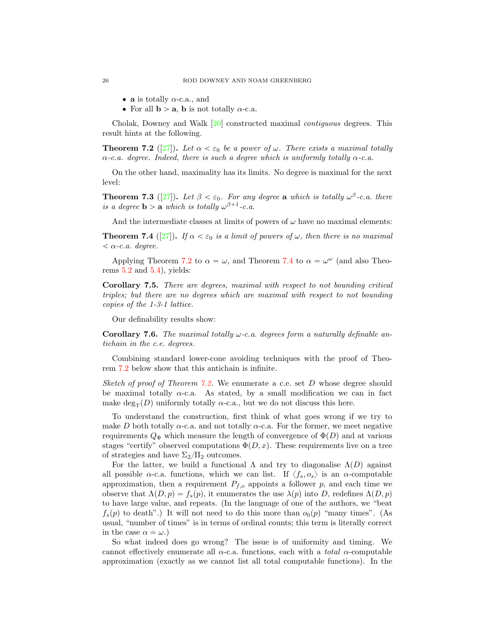- **a** is totally  $\alpha$ -c.a., and
- For all  $b > a$ , b is not totally  $\alpha$ -c.a.

Cholak, Downey and Walk [\[20\]](#page-31-22) constructed maximal contiguous degrees. This result hints at the following.

<span id="page-25-0"></span>**Theorem 7.2** ([\[27\]](#page-31-1)). Let  $\alpha < \varepsilon_0$  be a power of  $\omega$ . There exists a maximal totally  $\alpha$ -c.a. degree. Indeed, there is such a degree which is uniformly totally  $\alpha$ -c.a.

On the other hand, maximality has its limits. No degree is maximal for the next level:

<span id="page-25-2"></span>**Theorem 7.3** ([\[27\]](#page-31-1)). Let  $\beta < \varepsilon_0$ . For any degree a which is totally  $\omega^{\beta}$ -c.a. there is a degree **b** > **a** which is totally  $\omega^{\beta+1}$ -c.a.

And the intermediate classes at limits of powers of  $\omega$  have no maximal elements:

<span id="page-25-1"></span>**Theorem 7.4** ([\[27\]](#page-31-1)). If  $\alpha < \varepsilon_0$  is a limit of powers of  $\omega$ , then there is no maximal  $< \alpha$ -c.a. degree.

Applying Theorem [7.2](#page-25-0) to  $\alpha = \omega$ , and Theorem [7.4](#page-25-1) to  $\alpha = \omega^{\omega}$  (and also Theorems  $5.2$  and  $5.4$ ), yields:

Corollary 7.5. There are degrees, maximal with respect to not bounding critical triples; but there are no degrees which are maximal with respect to not bounding copies of the 1-3-1 lattice.

Our definability results show:

**Corollary 7.6.** The maximal totally  $\omega$ -c.a. degrees form a naturally definable antichain in the c.e. degrees.

Combining standard lower-cone avoiding techniques with the proof of Theorem [7.2](#page-25-0) below show that this antichain is infinite.

Sketch of proof of Theorem [7.2.](#page-25-0) We enumerate a c.e. set D whose degree should be maximal totally  $\alpha$ -c.a. As stated, by a small modification we can in fact make  $\deg_{\mathcal{T}}(D)$  uniformly totally  $\alpha$ -c.a., but we do not discuss this here.

To understand the construction, first think of what goes wrong if we try to make D both totally  $\alpha$ -c.a. and not totally  $\alpha$ -c.a. For the former, we meet negative requirements  $Q_{\Phi}$  which measure the length of convergence of  $\Phi(D)$  and at various stages "certify" observed computations  $\Phi(D, x)$ . These requirements live on a tree of strategies and have  $\Sigma_2/\Pi_2$  outcomes.

For the latter, we build a functional  $\Lambda$  and try to diagonalise  $\Lambda(D)$  against all possible  $\alpha$ -c.a. functions, which we can list. If  $\langle f_s, o_s \rangle$  is an  $\alpha$ -computable approximation, then a requirement  $P_{f,o}$  appoints a follower p, and each time we observe that  $\Lambda(D, p) = f_s(p)$ , it enumerates the use  $\lambda(p)$  into D, redefines  $\Lambda(D, p)$ to have large value, and repeats. (In the language of one of the authors, we "beat  $f_s(p)$  to death".) It will not need to do this more than  $o_0(p)$  "many times". (As usual, "number of times" is in terms of ordinal counts; this term is literally correct in the case  $\alpha = \omega$ .)

So what indeed does go wrong? The issue is of uniformity and timing. We cannot effectively enumerate all  $\alpha$ -c.a. functions, each with a *total*  $\alpha$ -computable approximation (exactly as we cannot list all total computable functions). In the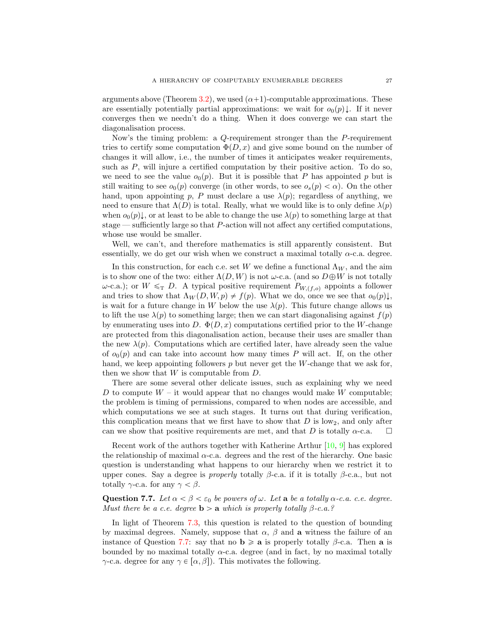arguments above (Theorem [3.2\)](#page-4-0), we used  $(\alpha+1)$ -computable approximations. These are essentially potentially partial approximations: we wait for  $o_0(p)\downarrow$ . If it never converges then we needn't do a thing. When it does converge we can start the diagonalisation process.

Now's the timing problem: a Q-requirement stronger than the P-requirement tries to certify some computation  $\Phi(D, x)$  and give some bound on the number of changes it will allow, i.e., the number of times it anticipates weaker requirements, such as  $P$ , will injure a certified computation by their positive action. To do so, we need to see the value  $o_0(p)$ . But it is possible that P has appointed p but is still waiting to see  $o_0(p)$  converge (in other words, to see  $o_s(p) < \alpha$ ). On the other hand, upon appointing p, P must declare a use  $\lambda(p)$ ; regardless of anything, we need to ensure that  $\Lambda(D)$  is total. Really, what we would like is to only define  $\lambda(p)$ when  $o_0(p)$ , or at least to be able to change the use  $\lambda(p)$  to something large at that stage — sufficiently large so that P-action will not affect any certified computations, whose use would be smaller.

Well, we can't, and therefore mathematics is still apparently consistent. But essentially, we do get our wish when we construct a maximal totally  $\alpha$ -c.a. degree.

In this construction, for each c.e. set W we define a functional  $\Lambda_W$ , and the aim is to show one of the two: either  $\Lambda(D, W)$  is not  $\omega$ -c.a. (and so  $D \oplus W$  is not totally  $ω$ -c.a.); or  $W \leq_T D$ . A typical positive requirement  $P_{W,(f,o)}$  appoints a follower and tries to show that  $\Lambda_W(D, W, p) \neq f(p)$ . What we do, once we see that  $o_0(p)\downarrow$ , is wait for a future change in W below the use  $\lambda(p)$ . This future change allows us to lift the use  $\lambda(p)$  to something large; then we can start diagonalising against  $f(p)$ by enumerating uses into D.  $\Phi(D, x)$  computations certified prior to the W-change are protected from this diagonalisation action, because their uses are smaller than the new  $\lambda(p)$ . Computations which are certified later, have already seen the value of  $o_0(p)$  and can take into account how many times P will act. If, on the other hand, we keep appointing followers  $p$  but never get the W-change that we ask for, then we show that  $W$  is computable from  $D$ .

There are some several other delicate issues, such as explaining why we need D to compute  $W - it$  would appear that no changes would make W computable; the problem is timing of permissions, compared to when nodes are accessible, and which computations we see at such stages. It turns out that during verification, this complication means that we first have to show that  $D$  is low<sub>2</sub>, and only after can we show that positive requirements are met, and that D is totally  $\alpha$ -c.a.  $\square$ 

Recent work of the authors together with Katherine Arthur [\[10,](#page-31-23) [9\]](#page-31-24) has explored the relationship of maximal  $\alpha$ -c.a. degrees and the rest of the hierarchy. One basic question is understanding what happens to our hierarchy when we restrict it to upper cones. Say a degree is *properly* totally  $\beta$ -c.a. if it is totally  $\beta$ -c.a., but not totally  $\gamma$ -c.a. for any  $\gamma < \beta$ .

<span id="page-26-0"></span>Question 7.7. Let  $\alpha < \beta < \varepsilon_0$  be powers of  $\omega$ . Let a be a totally  $\alpha$ -c.a. c.e. degree. Must there be a c.e. degree  $\mathbf{b} > \mathbf{a}$  which is properly totally  $\beta$ -c.a.?

In light of Theorem [7.3,](#page-25-2) this question is related to the question of bounding by maximal degrees. Namely, suppose that  $\alpha$ ,  $\beta$  and a witness the failure of an instance of Question [7.7:](#page-26-0) say that no  $\mathbf{b} \geq \mathbf{a}$  is properly totally  $\beta$ -c.a. Then **a** is bounded by no maximal totally  $\alpha$ -c.a. degree (and in fact, by no maximal totally γ-c.a. degree for any  $\gamma \in [\alpha, \beta]$ ). This motivates the following.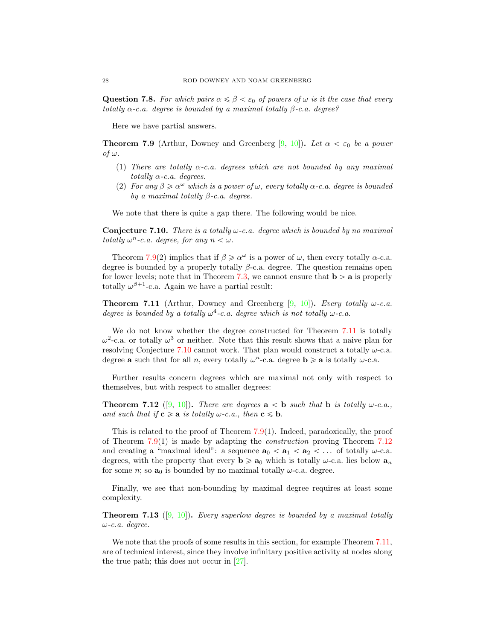**Question 7.8.** For which pairs  $\alpha \leq \beta < \varepsilon_0$  of powers of  $\omega$  is it the case that every totally  $\alpha$ -c.a. degree is bounded by a maximal totally  $\beta$ -c.a. degree?

Here we have partial answers.

<span id="page-27-0"></span>**Theorem 7.9** (Arthur, Downey and Greenberg [\[9,](#page-31-24) [10\]](#page-31-23)). Let  $\alpha < \varepsilon_0$  be a power  $of \omega$ .

- (1) There are totally  $\alpha$ -c.a. degrees which are not bounded by any maximal totally  $\alpha$ -c.a. degrees.
- (2) For any  $\beta \geq \alpha^{\omega}$  which is a power of  $\omega$ , every totally  $\alpha$ -c.a. degree is bounded by a maximal totally  $\beta$ -c.a. degree.

We note that there is quite a gap there. The following would be nice.

<span id="page-27-2"></span>**Conjecture 7.10.** There is a totally  $\omega$ -c.a. degree which is bounded by no maximal totally  $\omega^n$ -c.a. degree, for any  $n < \omega$ .

Theorem [7.9\(](#page-27-0)2) implies that if  $\beta \ge \alpha^{\omega}$  is a power of  $\omega$ , then every totally  $\alpha$ -c.a. degree is bounded by a properly totally  $\beta$ -c.a. degree. The question remains open for lower levels; note that in Theorem [7.3,](#page-25-2) we cannot ensure that  $\mathbf{b} > \mathbf{a}$  is properly totally  $\omega^{\beta+1}$ -c.a. Again we have a partial result:

<span id="page-27-1"></span>**Theorem 7.11** (Arthur, Downey and Greenberg  $[9, 10]$  $[9, 10]$ ). Every totally  $\omega$ -c.a. degree is bounded by a totally  $\omega^4$ -c.a. degree which is not totally  $\omega$ -c.a.

We do not know whether the degree constructed for Theorem [7.11](#page-27-1) is totally  $ω<sup>2</sup>$ -c.a. or totally  $ω<sup>3</sup>$  or neither. Note that this result shows that a naive plan for resolving Conjecture [7.10](#page-27-2) cannot work. That plan would construct a totally  $\omega$ -c.a. degree **a** such that for all *n*, every totally  $\omega^n$ -c.a. degree **b**  $\geq$  **a** is totally  $\omega$ -c.a.

Further results concern degrees which are maximal not only with respect to themselves, but with respect to smaller degrees:

<span id="page-27-3"></span>**Theorem 7.12** ([\[9,](#page-31-24) [10\]](#page-31-23)). There are degrees  $a < b$  such that b is totally  $\omega$ -c.a., and such that if  $c \ge a$  is totally  $\omega$ -c.a., then  $c \le b$ .

This is related to the proof of Theorem  $7.9(1)$  $7.9(1)$ . Indeed, paradoxically, the proof of Theorem [7.9\(](#page-27-0)1) is made by adapting the *construction* proving Theorem [7.12](#page-27-3) and creating a "maximal ideal": a sequence  $\mathbf{a}_0 < \mathbf{a}_1 < \mathbf{a}_2 < \dots$  of totally  $\omega$ -c.a. degrees, with the property that every  $\mathbf{b} \geq a_0$  which is totally  $\omega$ -c.a. lies below  $a_n$ for some *n*; so  $a_0$  is bounded by no maximal totally  $\omega$ -c.a. degree.

Finally, we see that non-bounding by maximal degree requires at least some complexity.

**Theorem 7.13** ([\[9,](#page-31-24) [10\]](#page-31-23)). Every superlow degree is bounded by a maximal totally ω-c.a. degree.

We note that the proofs of some results in this section, for example Theorem [7.11,](#page-27-1) are of technical interest, since they involve infinitary positive activity at nodes along the true path; this does not occur in [\[27\]](#page-31-1).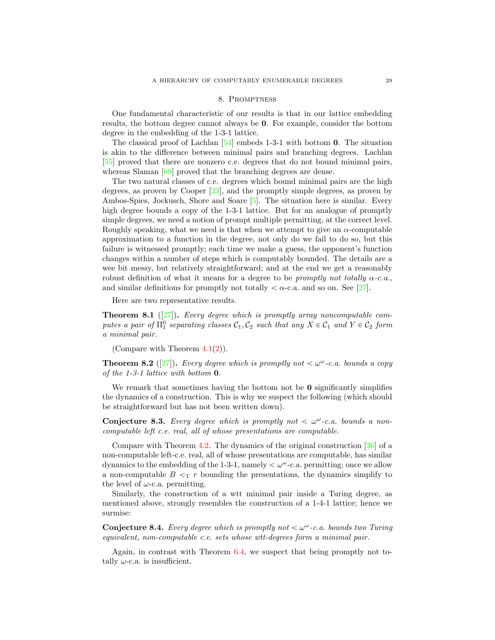#### 8. Promptness

One fundamental characteristic of our results is that in our lattice embedding results, the bottom degree cannot always be 0. For example, consider the bottom degree in the embedding of the 1-3-1 lattice.

The classical proof of Lachlan  $[54]$  embeds 1-3-1 with bottom 0. The situation is akin to the difference between minimal pairs and branching degrees. Lachlan [\[55\]](#page-32-24) proved that there are nonzero c.e. degrees that do not bound minimal pairs, whereas Slaman [\[69\]](#page-33-13) proved that the branching degrees are dense.

The two natural classes of c.e. degrees which bound minimal pairs are the high degrees, as proven by Cooper [\[23\]](#page-31-25), and the promptly simple degrees, as proven by Ambos-Spies, Jockusch, Shore and Soare [\[5\]](#page-30-0). The situation here is similar. Every high degree bounds a copy of the 1-3-1 lattice. But for an analogue of promptly simple degrees, we need a notion of prompt multiple permitting, at the correct level. Roughly speaking, what we need is that when we attempt to give an  $\alpha$ -computable approximation to a function in the degree, not only do we fail to do so, but this failure is witnessed promptly; each time we make a guess, the opponent's function changes within a number of steps which is computably bounded. The details are a wee bit messy, but relatively straightforward; and at the end we get a reasonably robust definition of what it means for a degree to be *promptly not totally*  $\alpha$ -c.a., and similar definitions for promptly not totally  $\langle \alpha$ -c.a. and so on. See [\[27\]](#page-31-1).

Here are two representative results.

**Theorem 8.1** ([\[27\]](#page-31-1)). Every degree which is promptly array noncomputable computes a pair of  $\Pi_1^0$  separating classes  $C_1, C_2$  such that any  $X \in C_1$  and  $Y \in C_2$  form a minimal pair.

(Compare with Theorem [4.1\(](#page-8-0)[2\)](#page-8-4)).

**Theorem 8.2** ([\[27\]](#page-31-1)). Every degree which is promptly not  $< \omega^{\omega}$ -c.a. bounds a copy of the 1-3-1 lattice with bottom 0.

We remark that sometimes having the bottom not be  $\bf{0}$  significantly simplifies the dynamics of a construction. This is why we suspect the following (which should be straightforward but has not been written down).

**Conjecture 8.3.** Every degree which is promptly not  $\lt \omega^{\omega}$ -c.a. bounds a noncomputable left c.e. real, all of whose presentations are computable.

Compare with Theorem [4.2.](#page-9-0) The dynamics of the original construction [\[36\]](#page-32-11) of a non-computable left-c.e. real, all of whose presentations are computable, has similar dynamics to the embedding of the 1-3-1, namely  $\lt \omega^{\omega}$ -c.a. permitting; once we allow a non-computable  $B \leq_T r$  bounding the presentations, the dynamics simplify to the level of  $\omega$ -c.a. permitting.

Similarly, the construction of a wtt minimal pair inside a Turing degree, as mentioned above, strongly resembles the construction of a 1-4-1 lattice; hence we surmise:

**Conjecture 8.4.** Every degree which is promptly not  $< \omega^\omega$ -c.a. bounds two Turing equivalent, non-computable c.e. sets whose wtt-degrees form a minimal pair.

Again, in contrast with Theorem [6.4,](#page-21-1) we suspect that being promptly not totally  $\omega$ -c.a. is insufficient.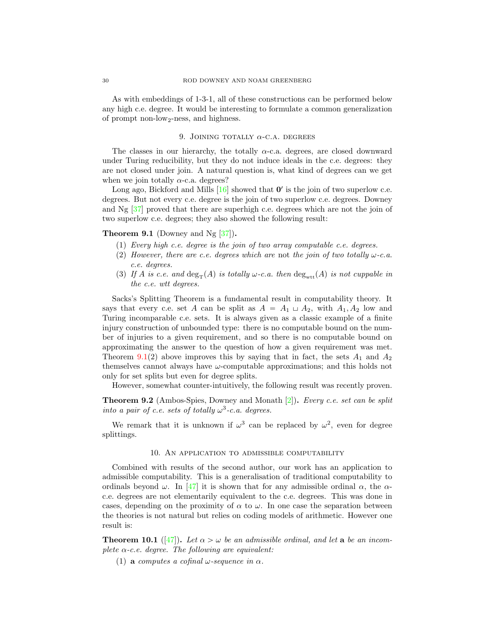As with embeddings of 1-3-1, all of these constructions can be performed below any high c.e. degree. It would be interesting to formulate a common generalization of prompt non-low2-ness, and highness.

## 9. JOINING TOTALLY  $\alpha$ -C.A. DEGREES

The classes in our hierarchy, the totally  $\alpha$ -c.a. degrees, are closed downward under Turing reducibility, but they do not induce ideals in the c.e. degrees: they are not closed under join. A natural question is, what kind of degrees can we get when we join totally  $\alpha$ -c.a. degrees?

Long ago, Bickford and Mills  $[16]$  showed that  $\mathbf{0}'$  is the join of two superlow c.e. degrees. But not every c.e. degree is the join of two superlow c.e. degrees. Downey and Ng [\[37\]](#page-32-25) proved that there are superhigh c.e. degrees which are not the join of two superlow c.e. degrees; they also showed the following result:

### <span id="page-29-0"></span>**Theorem 9.1** (Downey and Ng  $\left[37\right]$ ).

- (1) Every high c.e. degree is the join of two array computable c.e. degrees.
- (2) However, there are c.e. degrees which are not the join of two totally  $\omega$ -c.a. c.e. degrees.
- (3) If A is c.e. and  $\deg_{\mathcal{T}}(A)$  is totally  $\omega$ -c.a. then  $\deg_{\text{wtt}}(A)$  is not cuppable in the c.e. wtt degrees.

Sacks's Splitting Theorem is a fundamental result in computability theory. It says that every c.e. set A can be split as  $A = A_1 \sqcup A_2$ , with  $A_1, A_2$  low and Turing incomparable c.e. sets. It is always given as a classic example of a finite injury construction of unbounded type: there is no computable bound on the number of injuries to a given requirement, and so there is no computable bound on approximating the answer to the question of how a given requirement was met. Theorem [9.1\(](#page-29-0)2) above improves this by saying that in fact, the sets  $A_1$  and  $A_2$ themselves cannot always have  $\omega$ -computable approximations; and this holds not only for set splits but even for degree splits.

However, somewhat counter-intuitively, the following result was recently proven.

Theorem 9.2 (Ambos-Spies, Downey and Monath [\[2\]](#page-30-5)). Every c.e. set can be split into a pair of c.e. sets of totally  $\omega^3$ -c.a. degrees.

We remark that it is unknown if  $\omega^3$  can be replaced by  $\omega^2$ , even for degree splittings.

## 10. An application to admissible computability

Combined with results of the second author, our work has an application to admissible computability. This is a generalisation of traditional computability to ordinals beyond  $\omega$ . In [\[47\]](#page-32-26) it is shown that for any admissible ordinal  $\alpha$ , the  $\alpha$ c.e. degrees are not elementarily equivalent to the c.e. degrees. This was done in cases, depending on the proximity of  $\alpha$  to  $\omega$ . In one case the separation between the theories is not natural but relies on coding models of arithmetic. However one result is:

**Theorem 10.1** ([\[47\]](#page-32-26)). Let  $\alpha > \omega$  be an admissible ordinal, and let **a** be an incomplete  $\alpha$ -c.e. degree. The following are equivalent:

(1) a computes a cofinal  $\omega$ -sequence in  $\alpha$ .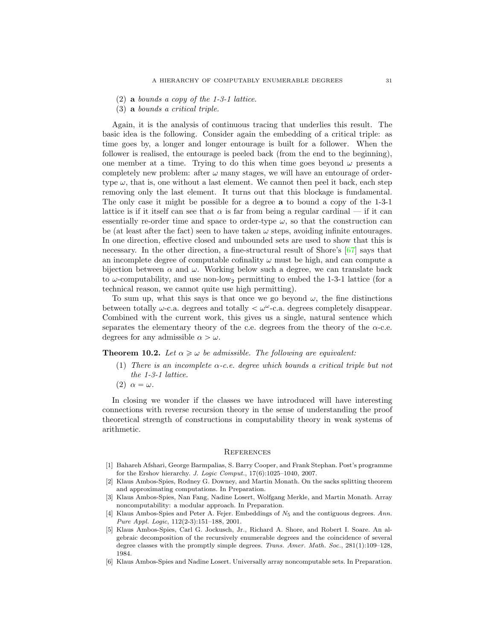- $(2)$  a bounds a copy of the 1-3-1 lattice.
- (3) a bounds a critical triple.

Again, it is the analysis of continuous tracing that underlies this result. The basic idea is the following. Consider again the embedding of a critical triple: as time goes by, a longer and longer entourage is built for a follower. When the follower is realised, the entourage is peeled back (from the end to the beginning), one member at a time. Trying to do this when time goes beyond  $\omega$  presents a completely new problem: after  $\omega$  many stages, we will have an entourage of ordertype  $\omega$ , that is, one without a last element. We cannot then peel it back, each step removing only the last element. It turns out that this blockage is fundamental. The only case it might be possible for a degree a to bound a copy of the 1-3-1 lattice is if it itself can see that  $\alpha$  is far from being a regular cardinal — if it can essentially re-order time and space to order-type  $\omega$ , so that the construction can be (at least after the fact) seen to have taken  $\omega$  steps, avoiding infinite entourages. In one direction, effective closed and unbounded sets are used to show that this is necessary. In the other direction, a fine-structural result of Shore's [\[67\]](#page-33-14) says that an incomplete degree of computable cofinality  $\omega$  must be high, and can compute a bijection between  $\alpha$  and  $\omega$ . Working below such a degree, we can translate back to  $\omega$ -computability, and use non-low<sub>2</sub> permitting to embed the 1-3-1 lattice (for a technical reason, we cannot quite use high permitting).

To sum up, what this says is that once we go beyond  $\omega$ , the fine distinctions between totally  $\omega$ -c.a. degrees and totally  $\langle \omega^{\omega}$ -c.a. degrees completely disappear. Combined with the current work, this gives us a single, natural sentence which separates the elementary theory of the c.e. degrees from the theory of the  $\alpha$ -c.e. degrees for any admissible  $\alpha > \omega$ .

**Theorem 10.2.** Let  $\alpha \geq \omega$  be admissible. The following are equivalent:

- (1) There is an incomplete  $\alpha$ -c.e. degree which bounds a critical triple but not the 1-3-1 lattice.
- (2)  $\alpha = \omega$ .

In closing we wonder if the classes we have introduced will have interesting connections with reverse recursion theory in the sense of understanding the proof theoretical strength of constructions in computability theory in weak systems of arithmetic.

### **REFERENCES**

- <span id="page-30-2"></span>[1] Bahareh Afshari, George Barmpalias, S. Barry Cooper, and Frank Stephan. Post's programme for the Ershov hierarchy. J. Logic Comput., 17(6):1025–1040, 2007.
- <span id="page-30-5"></span>[2] Klaus Ambos-Spies, Rodney G. Downey, and Martin Monath. On the sacks splitting theorem and approximating computations. In Preparation.
- <span id="page-30-1"></span>[3] Klaus Ambos-Spies, Nan Fang, Nadine Losert, Wolfgang Merkle, and Martin Monath. Array noncomputability: a modular approach. In Preparation.
- <span id="page-30-3"></span>[4] Klaus Ambos-Spies and Peter A. Fejer. Embeddings of  $N_5$  and the contiguous degrees. Ann. Pure Appl. Logic, 112(2-3):151–188, 2001.
- <span id="page-30-0"></span>[5] Klaus Ambos-Spies, Carl G. Jockusch, Jr., Richard A. Shore, and Robert I. Soare. An algebraic decomposition of the recursively enumerable degrees and the coincidence of several degree classes with the promptly simple degrees. Trans. Amer. Math. Soc., 281(1):109–128, 1984.
- <span id="page-30-4"></span>[6] Klaus Ambos-Spies and Nadine Losert. Universally array noncomputable sets. In Preparation.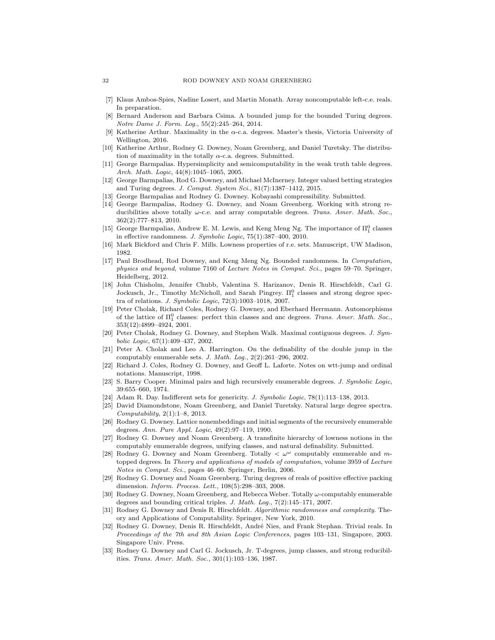- <span id="page-31-15"></span>[7] Klaus Ambos-Spies, Nadine Losert, and Martin Monath. Array noncomputable left-c.e. reals. In preparation.
- <span id="page-31-6"></span>[8] Bernard Anderson and Barbara Csima. A bounded jump for the bounded Turing degrees. Notre Dame J. Form. Log., 55(2):245–264, 2014.
- <span id="page-31-24"></span>Katherine Arthur. Maximality in the  $\alpha$ -c.a. degrees. Master's thesis, Victoria University of Wellington, 2016.
- <span id="page-31-23"></span>[10] Katherine Arthur, Rodney G. Downey, Noam Greenberg, and Daniel Turetsky. The distribution of maximality in the totally  $\alpha$ -c.a. degrees. Submitted.
- <span id="page-31-17"></span>[11] George Barmpalias. Hypersimplicity and semicomputability in the weak truth table degrees. Arch. Math. Logic, 44(8):1045–1065, 2005.
- <span id="page-31-11"></span>[12] George Barmpalias, Rod G. Downey, and Michael McInerney. Integer valued betting strategies and Turing degrees. J. Comput. System Sci., 81(7):1387–1412, 2015.
- <span id="page-31-14"></span>[13] George Barmpalias and Rodney G. Downey. Kobayashi compressibility. Submitted.
- <span id="page-31-10"></span>[14] George Barmpalias, Rodney G. Downey, and Noam Greenberg. Working with strong reducibilities above totally  $\omega$ -c.e. and array computable degrees. Trans. Amer. Math. Soc., 362(2):777–813, 2010.
- <span id="page-31-18"></span>[15] George Barmpalias, Andrew E. M. Lewis, and Keng Meng Ng. The importance of  $\Pi^0_1$  classes in effective randomness. J. Symbolic Logic, 75(1):387–400, 2010.
- <span id="page-31-26"></span>[16] Mark Bickford and Chris F. Mills. Lowness properties of r.e. sets. Manuscript, UW Madison, 1982.
- <span id="page-31-13"></span>[17] Paul Brodhead, Rod Downey, and Keng Meng Ng. Bounded randomness. In Computation, physics and beyond, volume 7160 of Lecture Notes in Comput. Sci., pages 59–70. Springer, Heidelberg, 2012.
- <span id="page-31-16"></span>[18] John Chisholm, Jennifer Chubb, Valentina S. Harizanov, Denis R. Hirschfeldt, Carl G. Jockusch, Jr., Timothy McNicholl, and Sarah Pingrey.  $\Pi_1^0$  classes and strong degree spectra of relations. J. Symbolic Logic, 72(3):1003–1018, 2007.
- <span id="page-31-8"></span>[19] Peter Cholak, Richard Coles, Rodney G. Downey, and Eberhard Herrmann. Automorphisms of the lattice of  $\Pi_1^0$  classes: perfect thin classes and anc degrees. Trans. Amer. Math. Soc., 353(12):4899–4924, 2001.
- <span id="page-31-22"></span>[20] Peter Cholak, Rodney G. Downey, and Stephen Walk. Maximal contiguous degrees. J. Symbolic Logic, 67(1):409–437, 2002.
- <span id="page-31-0"></span>[21] Peter A. Cholak and Leo A. Harrington. On the definability of the double jump in the computably enumerable sets. J. Math. Log., 2(2):261–296, 2002.
- <span id="page-31-5"></span>[22] Richard J. Coles, Rodney G. Downey, and Geoff L. Laforte. Notes on wtt-jump and ordinal notations. Manuscript, 1998.
- <span id="page-31-25"></span>[23] S. Barry Cooper. Minimal pairs and high recursively enumerable degrees. J. Symbolic Logic, 39:655–660, 1974.
- <span id="page-31-19"></span>[24] Adam R. Day. Indifferent sets for genericity. J. Symbolic Logic, 78(1):113–138, 2013.
- <span id="page-31-7"></span>[25] David Diamondstone, Noam Greenberg, and Daniel Turetsky. Natural large degree spectra.  $Computability, 2(1):1–8, 2013.$
- <span id="page-31-21"></span>[26] Rodney G. Downey. Lattice nonembeddings and initial segments of the recursively enumerable degrees. Ann. Pure Appl. Logic, 49(2):97–119, 1990.
- <span id="page-31-1"></span>[27] Rodney G. Downey and Noam Greenberg. A transfinite hierarchy of lowness notions in the computably enumerable degrees, unifying classes, and natural definability. Submitted.
- <span id="page-31-3"></span>[28] Rodney G. Downey and Noam Greenberg. Totally  $\langle \omega^{\omega} \rangle$  computably enumerable and mtopped degrees. In Theory and applications of models of computation, volume 3959 of Lecture Notes in Comput. Sci., pages 46–60. Springer, Berlin, 2006.
- <span id="page-31-9"></span>[29] Rodney G. Downey and Noam Greenberg. Turing degrees of reals of positive effective packing dimension. Inform. Process. Lett., 108(5):298–303, 2008.
- <span id="page-31-2"></span>[30] Rodney G. Downey, Noam Greenberg, and Rebecca Weber. Totally ω-computably enumerable degrees and bounding critical triples. J. Math. Log., 7(2):145–171, 2007.
- <span id="page-31-12"></span>[31] Rodney G. Downey and Denis R. Hirschfeldt. Algorithmic randomness and complexity. Theory and Applications of Computability. Springer, New York, 2010.
- <span id="page-31-4"></span>[32] Rodney G. Downey, Denis R. Hirschfeldt, André Nies, and Frank Stephan. Trivial reals. In Proceedings of the 7th and 8th Asian Logic Conferences, pages 103–131, Singapore, 2003. Singapore Univ. Press.
- <span id="page-31-20"></span>[33] Rodney G. Downey and Carl G. Jockusch, Jr. T-degrees, jump classes, and strong reducibilities. Trans. Amer. Math. Soc., 301(1):103–136, 1987.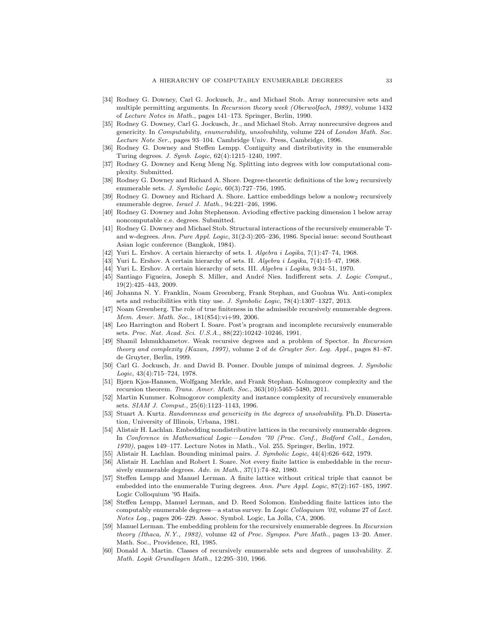- <span id="page-32-2"></span>[34] Rodney G. Downey, Carl G. Jockusch, Jr., and Michael Stob. Array nonrecursive sets and multiple permitting arguments. In Recursion theory week (Oberwolfach, 1989), volume 1432 of Lecture Notes in Math., pages 141–173. Springer, Berlin, 1990.
- <span id="page-32-3"></span>[35] Rodney G. Downey, Carl G. Jockusch, Jr., and Michael Stob. Array nonrecursive degrees and genericity. In Computability, enumerability, unsolvability, volume 224 of London Math. Soc. Lecture Note Ser., pages 93–104. Cambridge Univ. Press, Cambridge, 1996.
- <span id="page-32-11"></span>[36] Rodney G. Downey and Steffen Lempp. Contiguity and distributivity in the enumerable Turing degrees. J. Symb. Logic, 62(4):1215–1240, 1997.
- <span id="page-32-25"></span>[37] Rodney G. Downey and Keng Meng Ng. Splitting into degrees with low computational complexity. Submitted.
- <span id="page-32-16"></span>[38] Rodney G. Downey and Richard A. Shore. Degree-theoretic definitions of the low<sub>2</sub> recursively enumerable sets. J. Symbolic Logic, 60(3):727–756, 1995.
- <span id="page-32-22"></span>[39] Rodney G. Downey and Richard A. Shore. Lattice embeddings below a nonlow<sub>2</sub> recursively enumerable degree. Israel J. Math., 94:221-246, 1996.
- <span id="page-32-9"></span>[40] Rodney G. Downey and John Stephenson. Avioding effective packing dimension 1 below array noncomputable c.e. degrees. Submitted.
- <span id="page-32-23"></span>[41] Rodney G. Downey and Michael Stob. Structural interactions of the recursively enumerable Tand w-degrees. Ann. Pure Appl. Logic, 31(2-3):205–236, 1986. Special issue: second Southeast Asian logic conference (Bangkok, 1984).
- <span id="page-32-4"></span>[42] Yuri L. Ershov. A certain hierarchy of sets. I. Algebra i Logika, 7(1):47–74, 1968.
- <span id="page-32-5"></span>[43] Yuri L. Ershov. A certain hierarchy of sets. II. Algebra i Logika, 7(4):15–47, 1968.
- <span id="page-32-6"></span>[44] Yuri L. Ershov. A certain hierarchy of sets. III. Algebra i Logika, 9:34–51, 1970.
- <span id="page-32-14"></span>[45] Santiago Figueira, Joseph S. Miller, and André Nies. Indifferent sets. J. Logic Comput., 19(2):425–443, 2009.
- <span id="page-32-10"></span>[46] Johanna N. Y. Franklin, Noam Greenberg, Frank Stephan, and Guohua Wu. Anti-complex sets and reducibilities with tiny use. J. Symbolic Logic, 78(4):1307–1327, 2013.
- <span id="page-32-26"></span>[47] Noam Greenberg. The role of true finiteness in the admissible recursively enumerable degrees. Mem. Amer. Math. Soc., 181(854):vi+99, 2006.
- <span id="page-32-0"></span>[48] Leo Harrington and Robert I. Soare. Post's program and incomplete recursively enumerable sets. Proc. Nat. Acad. Sci. U.S.A., 88(22):10242–10246, 1991.
- <span id="page-32-8"></span>[49] Shamil Ishmukhametov. Weak recursive degrees and a problem of Spector. In Recursion theory and complexity (Kazan, 1997), volume 2 of de Gruyter Ser. Log. Appl., pages 81–87. de Gruyter, Berlin, 1999.
- <span id="page-32-15"></span>[50] Carl G. Jockusch, Jr. and David B. Posner. Double jumps of minimal degrees. J. Symbolic Logic, 43(4):715–724, 1978.
- <span id="page-32-13"></span>[51] Bjørn Kjos-Hanssen, Wolfgang Merkle, and Frank Stephan. Kolmogorov complexity and the recursion theorem. Trans. Amer. Math. Soc., 363(10):5465–5480, 2011.
- <span id="page-32-7"></span>[52] Martin Kummer. Kolmogorov complexity and instance complexity of recursively enumerable sets. SIAM J. Comput., 25(6):1123–1143, 1996.
- <span id="page-32-12"></span>Stuart A. Kurtz. Randomness and genericity in the degrees of unsolvability. Ph.D. Dissertation, University of Illinois, Urbana, 1981.
- <span id="page-32-21"></span>[54] Alistair H. Lachlan. Embedding nondistributive lattices in the recursively enumerable degrees. In Conference in Mathematical Logic—London '70 (Proc. Conf., Bedford Coll., London, 1970), pages 149–177. Lecture Notes in Math., Vol. 255. Springer, Berlin, 1972.
- <span id="page-32-24"></span>[55] Alistair H. Lachlan. Bounding minimal pairs. J. Symbolic Logic, 44(4):626–642, 1979.
- <span id="page-32-20"></span>[56] Alistair H. Lachlan and Robert I. Soare. Not every finite lattice is embeddable in the recursively enumerable degrees. Adv. in Math., 37(1):74–82, 1980.
- <span id="page-32-17"></span>[57] Steffen Lempp and Manuel Lerman. A finite lattice without critical triple that cannot be embedded into the enumerable Turing degrees. Ann. Pure Appl. Logic, 87(2):167–185, 1997. Logic Colloquium '95 Haifa.
- <span id="page-32-18"></span>[58] Steffen Lempp, Manuel Lerman, and D. Reed Solomon. Embedding finite lattices into the computably enumerable degrees—a status survey. In Logic Colloquium '02, volume 27 of Lect. Notes Log., pages 206–229. Assoc. Symbol. Logic, La Jolla, CA, 2006.
- <span id="page-32-19"></span>[59] Manuel Lerman. The embedding problem for the recursively enumerable degrees. In Recursion theory (Ithaca, N.Y., 1982), volume 42 of Proc. Sympos. Pure Math., pages 13–20. Amer. Math. Soc., Providence, RI, 1985.
- <span id="page-32-1"></span>[60] Donald A. Martin. Classes of recursively enumerable sets and degrees of unsolvability. Z. Math. Logik Grundlagen Math., 12:295–310, 1966.